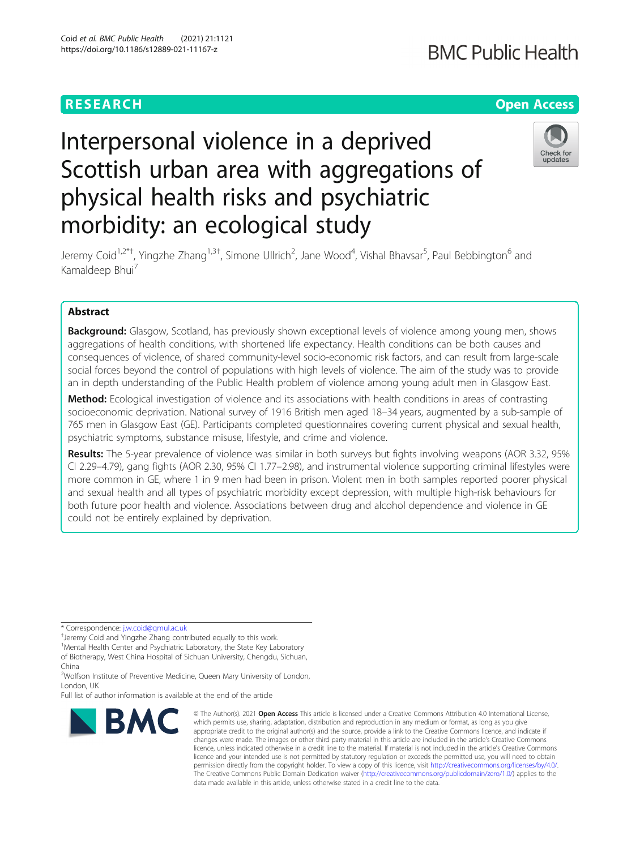# **RESEARCH CHEAR CHEAR CHEAR CHEAR CHEAR CHEAR CHEAR CHEAR CHEAR CHEAR CHEAR CHEAR CHEAR CHEAR CHEAR CHEAR CHEAR**

# Interpersonal violence in a deprived Scottish urban area with aggregations of physical health risks and psychiatric morbidity: an ecological study



Jeremy Coid<sup>1,2\*†</sup>, Yingzhe Zhang<sup>1,3†</sup>, Simone Ullrich<sup>2</sup>, Jane Wood<sup>4</sup>, Vishal Bhavsar<sup>5</sup>, Paul Bebbington<sup>6</sup> and Kamaldeep Bhui<sup>7</sup>

# Abstract

**Background:** Glasgow, Scotland, has previously shown exceptional levels of violence among young men, shows aggregations of health conditions, with shortened life expectancy. Health conditions can be both causes and consequences of violence, of shared community-level socio-economic risk factors, and can result from large-scale social forces beyond the control of populations with high levels of violence. The aim of the study was to provide an in depth understanding of the Public Health problem of violence among young adult men in Glasgow East.

Method: Ecological investigation of violence and its associations with health conditions in areas of contrasting socioeconomic deprivation. National survey of 1916 British men aged 18–34 years, augmented by a sub-sample of 765 men in Glasgow East (GE). Participants completed questionnaires covering current physical and sexual health, psychiatric symptoms, substance misuse, lifestyle, and crime and violence.

Results: The 5-year prevalence of violence was similar in both surveys but fights involving weapons (AOR 3.32, 95% CI 2.29–4.79), gang fights (AOR 2.30, 95% CI 1.77–2.98), and instrumental violence supporting criminal lifestyles were more common in GE, where 1 in 9 men had been in prison. Violent men in both samples reported poorer physical and sexual health and all types of psychiatric morbidity except depression, with multiple high-risk behaviours for both future poor health and violence. Associations between drug and alcohol dependence and violence in GE could not be entirely explained by deprivation.

\* Correspondence: [j.w.coid@qmul.ac.uk](mailto:j.w.coid@qmul.ac.uk) †

of Biotherapy, West China Hospital of Sichuan University, Chengdu, Sichuan, China

<sup>2</sup>Wolfson Institute of Preventive Medicine, Queen Mary University of London, London, UK

Full list of author information is available at the end of the article



<sup>©</sup> The Author(s), 2021 **Open Access** This article is licensed under a Creative Commons Attribution 4.0 International License, which permits use, sharing, adaptation, distribution and reproduction in any medium or format, as long as you give appropriate credit to the original author(s) and the source, provide a link to the Creative Commons licence, and indicate if changes were made. The images or other third party material in this article are included in the article's Creative Commons licence, unless indicated otherwise in a credit line to the material. If material is not included in the article's Creative Commons licence and your intended use is not permitted by statutory regulation or exceeds the permitted use, you will need to obtain permission directly from the copyright holder. To view a copy of this licence, visit [http://creativecommons.org/licenses/by/4.0/.](http://creativecommons.org/licenses/by/4.0/) The Creative Commons Public Domain Dedication waiver [\(http://creativecommons.org/publicdomain/zero/1.0/](http://creativecommons.org/publicdomain/zero/1.0/)) applies to the data made available in this article, unless otherwise stated in a credit line to the data.

<sup>&</sup>lt;sup>+</sup>Jeremy Coid and Yingzhe Zhang contributed equally to this work.

<sup>&</sup>lt;sup>1</sup>Mental Health Center and Psychiatric Laboratory, the State Key Laboratory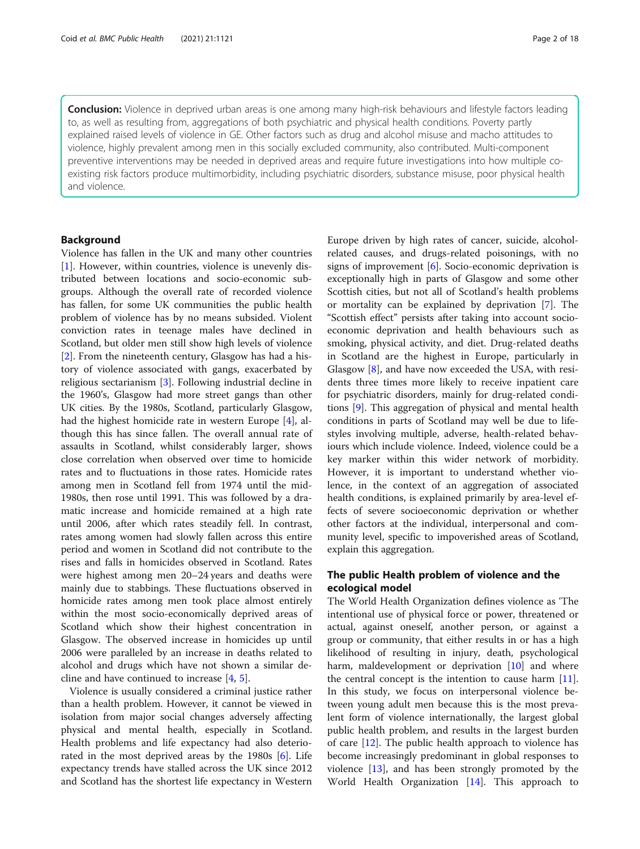Conclusion: Violence in deprived urban areas is one among many high-risk behaviours and lifestyle factors leading to, as well as resulting from, aggregations of both psychiatric and physical health conditions. Poverty partly explained raised levels of violence in GE. Other factors such as drug and alcohol misuse and macho attitudes to violence, highly prevalent among men in this socially excluded community, also contributed. Multi-component preventive interventions may be needed in deprived areas and require future investigations into how multiple coexisting risk factors produce multimorbidity, including psychiatric disorders, substance misuse, poor physical health and violence.

## Background

Violence has fallen in the UK and many other countries [[1\]](#page-15-0). However, within countries, violence is unevenly distributed between locations and socio-economic subgroups. Although the overall rate of recorded violence has fallen, for some UK communities the public health problem of violence has by no means subsided. Violent conviction rates in teenage males have declined in Scotland, but older men still show high levels of violence [[2\]](#page-15-0). From the nineteenth century, Glasgow has had a history of violence associated with gangs, exacerbated by religious sectarianism [[3\]](#page-15-0). Following industrial decline in the 1960's, Glasgow had more street gangs than other UK cities. By the 1980s, Scotland, particularly Glasgow, had the highest homicide rate in western Europe [\[4](#page-15-0)], although this has since fallen. The overall annual rate of assaults in Scotland, whilst considerably larger, shows close correlation when observed over time to homicide rates and to fluctuations in those rates. Homicide rates among men in Scotland fell from 1974 until the mid-1980s, then rose until 1991. This was followed by a dramatic increase and homicide remained at a high rate until 2006, after which rates steadily fell. In contrast, rates among women had slowly fallen across this entire period and women in Scotland did not contribute to the rises and falls in homicides observed in Scotland. Rates were highest among men 20–24 years and deaths were mainly due to stabbings. These fluctuations observed in homicide rates among men took place almost entirely within the most socio-economically deprived areas of Scotland which show their highest concentration in Glasgow. The observed increase in homicides up until 2006 were paralleled by an increase in deaths related to alcohol and drugs which have not shown a similar decline and have continued to increase [[4,](#page-15-0) [5\]](#page-15-0).

Violence is usually considered a criminal justice rather than a health problem. However, it cannot be viewed in isolation from major social changes adversely affecting physical and mental health, especially in Scotland. Health problems and life expectancy had also deteriorated in the most deprived areas by the  $1980s$  [[6\]](#page-15-0). Life expectancy trends have stalled across the UK since 2012 and Scotland has the shortest life expectancy in Western

Europe driven by high rates of cancer, suicide, alcoholrelated causes, and drugs-related poisonings, with no signs of improvement [[6\]](#page-15-0). Socio-economic deprivation is exceptionally high in parts of Glasgow and some other Scottish cities, but not all of Scotland's health problems or mortality can be explained by deprivation [\[7](#page-15-0)]. The "Scottish effect" persists after taking into account socioeconomic deprivation and health behaviours such as smoking, physical activity, and diet. Drug-related deaths in Scotland are the highest in Europe, particularly in Glasgow [[8\]](#page-15-0), and have now exceeded the USA, with residents three times more likely to receive inpatient care for psychiatric disorders, mainly for drug-related conditions [\[9](#page-15-0)]. This aggregation of physical and mental health conditions in parts of Scotland may well be due to lifestyles involving multiple, adverse, health-related behaviours which include violence. Indeed, violence could be a key marker within this wider network of morbidity. However, it is important to understand whether violence, in the context of an aggregation of associated health conditions, is explained primarily by area-level effects of severe socioeconomic deprivation or whether other factors at the individual, interpersonal and community level, specific to impoverished areas of Scotland, explain this aggregation.

# The public Health problem of violence and the ecological model

The World Health Organization defines violence as 'The intentional use of physical force or power, threatened or actual, against oneself, another person, or against a group or community, that either results in or has a high likelihood of resulting in injury, death, psychological harm, maldevelopment or deprivation [\[10](#page-15-0)] and where the central concept is the intention to cause harm [\[11](#page-15-0)]. In this study, we focus on interpersonal violence between young adult men because this is the most prevalent form of violence internationally, the largest global public health problem, and results in the largest burden of care [[12\]](#page-15-0). The public health approach to violence has become increasingly predominant in global responses to violence [\[13\]](#page-15-0), and has been strongly promoted by the World Health Organization [\[14](#page-15-0)]. This approach to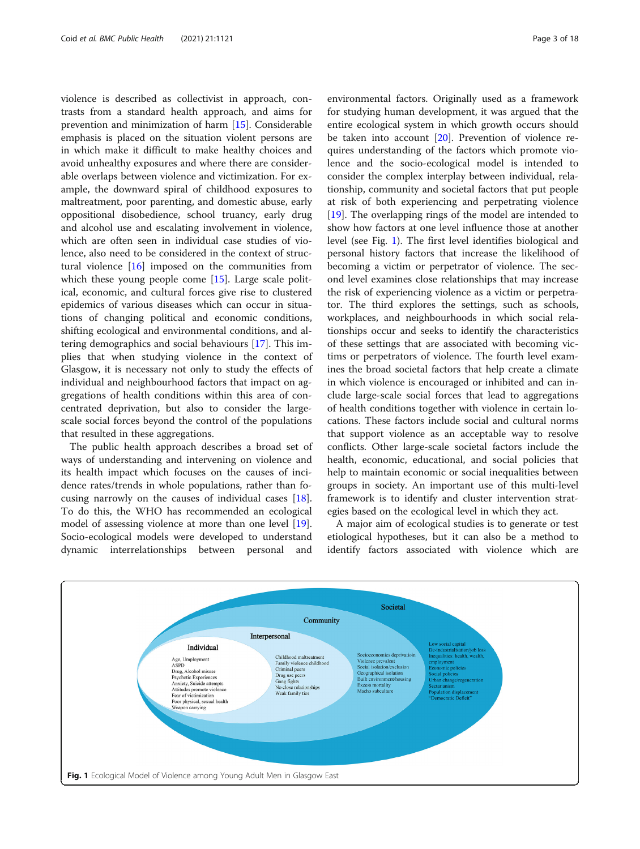<span id="page-2-0"></span>violence is described as collectivist in approach, contrasts from a standard health approach, and aims for prevention and minimization of harm [[15\]](#page-15-0). Considerable emphasis is placed on the situation violent persons are in which make it difficult to make healthy choices and avoid unhealthy exposures and where there are considerable overlaps between violence and victimization. For example, the downward spiral of childhood exposures to maltreatment, poor parenting, and domestic abuse, early oppositional disobedience, school truancy, early drug and alcohol use and escalating involvement in violence, which are often seen in individual case studies of violence, also need to be considered in the context of structural violence [\[16\]](#page-15-0) imposed on the communities from which these young people come [\[15\]](#page-15-0). Large scale political, economic, and cultural forces give rise to clustered epidemics of various diseases which can occur in situations of changing political and economic conditions, shifting ecological and environmental conditions, and altering demographics and social behaviours [\[17\]](#page-15-0). This implies that when studying violence in the context of Glasgow, it is necessary not only to study the effects of individual and neighbourhood factors that impact on aggregations of health conditions within this area of concentrated deprivation, but also to consider the largescale social forces beyond the control of the populations that resulted in these aggregations.

The public health approach describes a broad set of ways of understanding and intervening on violence and its health impact which focuses on the causes of incidence rates/trends in whole populations, rather than focusing narrowly on the causes of individual cases [\[18](#page-16-0)]. To do this, the WHO has recommended an ecological model of assessing violence at more than one level [\[19](#page-16-0)]. Socio-ecological models were developed to understand dynamic interrelationships between personal and

environmental factors. Originally used as a framework for studying human development, it was argued that the entire ecological system in which growth occurs should be taken into account [\[20](#page-16-0)]. Prevention of violence requires understanding of the factors which promote violence and the socio-ecological model is intended to consider the complex interplay between individual, relationship, community and societal factors that put people at risk of both experiencing and perpetrating violence [[19\]](#page-16-0). The overlapping rings of the model are intended to show how factors at one level influence those at another level (see Fig. 1). The first level identifies biological and personal history factors that increase the likelihood of becoming a victim or perpetrator of violence. The second level examines close relationships that may increase the risk of experiencing violence as a victim or perpetrator. The third explores the settings, such as schools, workplaces, and neighbourhoods in which social relationships occur and seeks to identify the characteristics of these settings that are associated with becoming victims or perpetrators of violence. The fourth level examines the broad societal factors that help create a climate in which violence is encouraged or inhibited and can include large-scale social forces that lead to aggregations of health conditions together with violence in certain locations. These factors include social and cultural norms that support violence as an acceptable way to resolve conflicts. Other large-scale societal factors include the health, economic, educational, and social policies that help to maintain economic or social inequalities between groups in society. An important use of this multi-level framework is to identify and cluster intervention strategies based on the ecological level in which they act.

A major aim of ecological studies is to generate or test etiological hypotheses, but it can also be a method to identify factors associated with violence which are

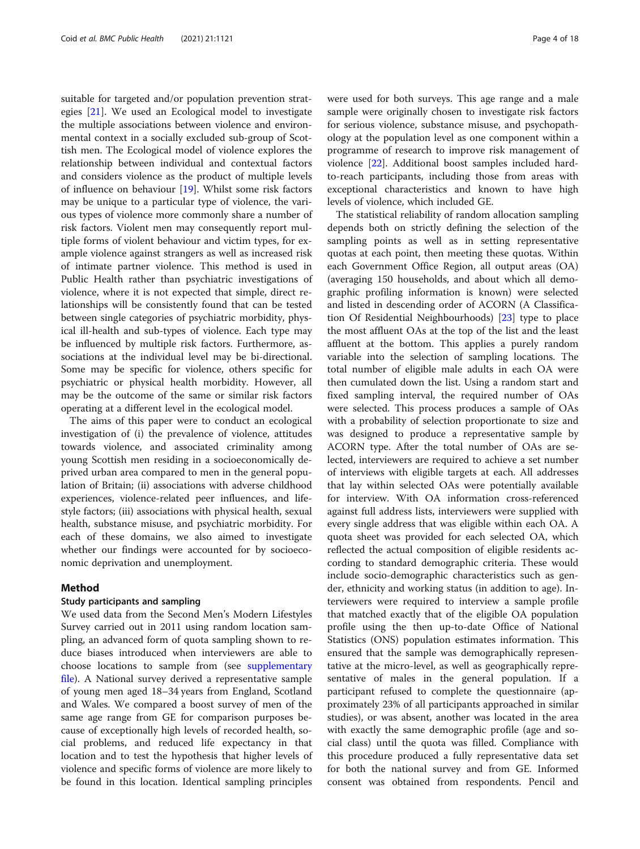suitable for targeted and/or population prevention strategies [\[21\]](#page-16-0). We used an Ecological model to investigate the multiple associations between violence and environmental context in a socially excluded sub-group of Scottish men. The Ecological model of violence explores the relationship between individual and contextual factors and considers violence as the product of multiple levels of influence on behaviour [\[19\]](#page-16-0). Whilst some risk factors may be unique to a particular type of violence, the various types of violence more commonly share a number of risk factors. Violent men may consequently report multiple forms of violent behaviour and victim types, for example violence against strangers as well as increased risk of intimate partner violence. This method is used in Public Health rather than psychiatric investigations of violence, where it is not expected that simple, direct relationships will be consistently found that can be tested between single categories of psychiatric morbidity, physical ill-health and sub-types of violence. Each type may be influenced by multiple risk factors. Furthermore, associations at the individual level may be bi-directional. Some may be specific for violence, others specific for psychiatric or physical health morbidity. However, all may be the outcome of the same or similar risk factors operating at a different level in the ecological model.

The aims of this paper were to conduct an ecological investigation of (i) the prevalence of violence, attitudes towards violence, and associated criminality among young Scottish men residing in a socioeconomically deprived urban area compared to men in the general population of Britain; (ii) associations with adverse childhood experiences, violence-related peer influences, and lifestyle factors; (iii) associations with physical health, sexual health, substance misuse, and psychiatric morbidity. For each of these domains, we also aimed to investigate whether our findings were accounted for by socioeconomic deprivation and unemployment.

#### Method

#### Study participants and sampling

We used data from the Second Men's Modern Lifestyles Survey carried out in 2011 using random location sampling, an advanced form of quota sampling shown to reduce biases introduced when interviewers are able to choose locations to sample from (see [supplementary](#page-15-0) [file](#page-15-0)). A National survey derived a representative sample of young men aged 18–34 years from England, Scotland and Wales. We compared a boost survey of men of the same age range from GE for comparison purposes because of exceptionally high levels of recorded health, social problems, and reduced life expectancy in that location and to test the hypothesis that higher levels of violence and specific forms of violence are more likely to be found in this location. Identical sampling principles were used for both surveys. This age range and a male sample were originally chosen to investigate risk factors for serious violence, substance misuse, and psychopathology at the population level as one component within a programme of research to improve risk management of violence [[22\]](#page-16-0). Additional boost samples included hardto-reach participants, including those from areas with exceptional characteristics and known to have high levels of violence, which included GE.

The statistical reliability of random allocation sampling depends both on strictly defining the selection of the sampling points as well as in setting representative quotas at each point, then meeting these quotas. Within each Government Office Region, all output areas (OA) (averaging 150 households, and about which all demographic profiling information is known) were selected and listed in descending order of ACORN (A Classification Of Residential Neighbourhoods) [[23\]](#page-16-0) type to place the most affluent OAs at the top of the list and the least affluent at the bottom. This applies a purely random variable into the selection of sampling locations. The total number of eligible male adults in each OA were then cumulated down the list. Using a random start and fixed sampling interval, the required number of OAs were selected. This process produces a sample of OAs with a probability of selection proportionate to size and was designed to produce a representative sample by ACORN type. After the total number of OAs are selected, interviewers are required to achieve a set number of interviews with eligible targets at each. All addresses that lay within selected OAs were potentially available for interview. With OA information cross-referenced against full address lists, interviewers were supplied with every single address that was eligible within each OA. A quota sheet was provided for each selected OA, which reflected the actual composition of eligible residents according to standard demographic criteria. These would include socio-demographic characteristics such as gender, ethnicity and working status (in addition to age). Interviewers were required to interview a sample profile that matched exactly that of the eligible OA population profile using the then up-to-date Office of National Statistics (ONS) population estimates information. This ensured that the sample was demographically representative at the micro-level, as well as geographically representative of males in the general population. If a participant refused to complete the questionnaire (approximately 23% of all participants approached in similar studies), or was absent, another was located in the area with exactly the same demographic profile (age and social class) until the quota was filled. Compliance with this procedure produced a fully representative data set for both the national survey and from GE. Informed consent was obtained from respondents. Pencil and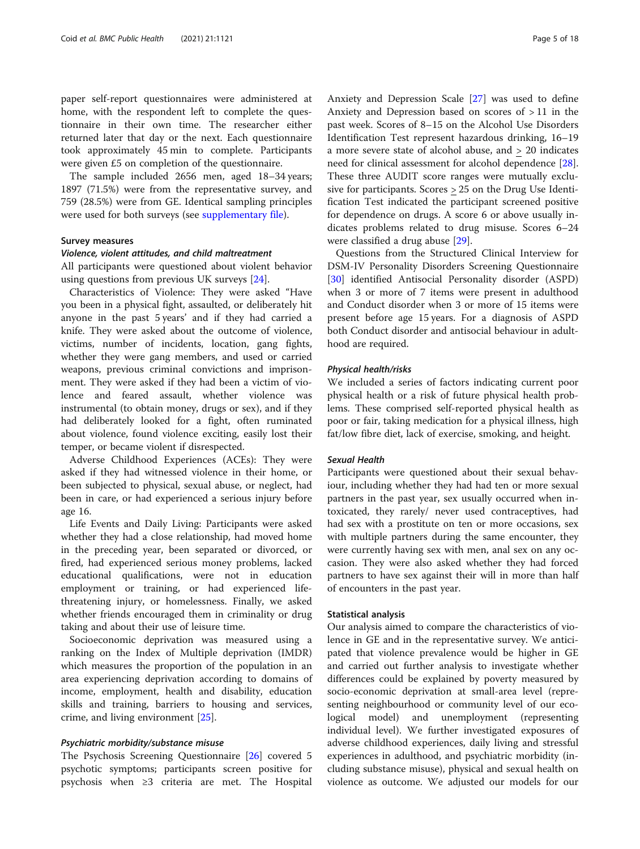paper self-report questionnaires were administered at home, with the respondent left to complete the questionnaire in their own time. The researcher either returned later that day or the next. Each questionnaire took approximately 45 min to complete. Participants were given £5 on completion of the questionnaire.

The sample included 2656 men, aged 18–34 years; 1897 (71.5%) were from the representative survey, and 759 (28.5%) were from GE. Identical sampling principles were used for both surveys (see [supplementary file\)](#page-15-0).

#### Survey measures

#### Violence, violent attitudes, and child maltreatment

All participants were questioned about violent behavior using questions from previous UK surveys [[24\]](#page-16-0).

Characteristics of Violence: They were asked "Have you been in a physical fight, assaulted, or deliberately hit anyone in the past 5 years' and if they had carried a knife. They were asked about the outcome of violence, victims, number of incidents, location, gang fights, whether they were gang members, and used or carried weapons, previous criminal convictions and imprisonment. They were asked if they had been a victim of violence and feared assault, whether violence was instrumental (to obtain money, drugs or sex), and if they had deliberately looked for a fight, often ruminated about violence, found violence exciting, easily lost their temper, or became violent if disrespected.

Adverse Childhood Experiences (ACEs): They were asked if they had witnessed violence in their home, or been subjected to physical, sexual abuse, or neglect, had been in care, or had experienced a serious injury before age 16.

Life Events and Daily Living: Participants were asked whether they had a close relationship, had moved home in the preceding year, been separated or divorced, or fired, had experienced serious money problems, lacked educational qualifications, were not in education employment or training, or had experienced lifethreatening injury, or homelessness. Finally, we asked whether friends encouraged them in criminality or drug taking and about their use of leisure time.

Socioeconomic deprivation was measured using a ranking on the Index of Multiple deprivation (IMDR) which measures the proportion of the population in an area experiencing deprivation according to domains of income, employment, health and disability, education skills and training, barriers to housing and services, crime, and living environment [[25](#page-16-0)].

#### Psychiatric morbidity/substance misuse

The Psychosis Screening Questionnaire [[26](#page-16-0)] covered 5 psychotic symptoms; participants screen positive for psychosis when ≥3 criteria are met. The Hospital Anxiety and Depression Scale [[27\]](#page-16-0) was used to define Anxiety and Depression based on scores of > 11 in the past week. Scores of 8–15 on the Alcohol Use Disorders Identification Test represent hazardous drinking, 16–19 a more severe state of alcohol abuse, and > 20 indicates need for clinical assessment for alcohol dependence [\[28](#page-16-0)]. These three AUDIT score ranges were mutually exclusive for participants. Scores > 25 on the Drug Use Identification Test indicated the participant screened positive for dependence on drugs. A score 6 or above usually indicates problems related to drug misuse. Scores 6–24 were classified a drug abuse [[29\]](#page-16-0).

Questions from the Structured Clinical Interview for DSM-IV Personality Disorders Screening Questionnaire [[30\]](#page-16-0) identified Antisocial Personality disorder (ASPD) when 3 or more of 7 items were present in adulthood and Conduct disorder when 3 or more of 15 items were present before age 15 years. For a diagnosis of ASPD both Conduct disorder and antisocial behaviour in adulthood are required.

#### Physical health/risks

We included a series of factors indicating current poor physical health or a risk of future physical health problems. These comprised self-reported physical health as poor or fair, taking medication for a physical illness, high fat/low fibre diet, lack of exercise, smoking, and height.

#### Sexual Health

Participants were questioned about their sexual behaviour, including whether they had had ten or more sexual partners in the past year, sex usually occurred when intoxicated, they rarely/ never used contraceptives, had had sex with a prostitute on ten or more occasions, sex with multiple partners during the same encounter, they were currently having sex with men, anal sex on any occasion. They were also asked whether they had forced partners to have sex against their will in more than half of encounters in the past year.

#### Statistical analysis

Our analysis aimed to compare the characteristics of violence in GE and in the representative survey. We anticipated that violence prevalence would be higher in GE and carried out further analysis to investigate whether differences could be explained by poverty measured by socio-economic deprivation at small-area level (representing neighbourhood or community level of our ecological model) and unemployment (representing individual level). We further investigated exposures of adverse childhood experiences, daily living and stressful experiences in adulthood, and psychiatric morbidity (including substance misuse), physical and sexual health on violence as outcome. We adjusted our models for our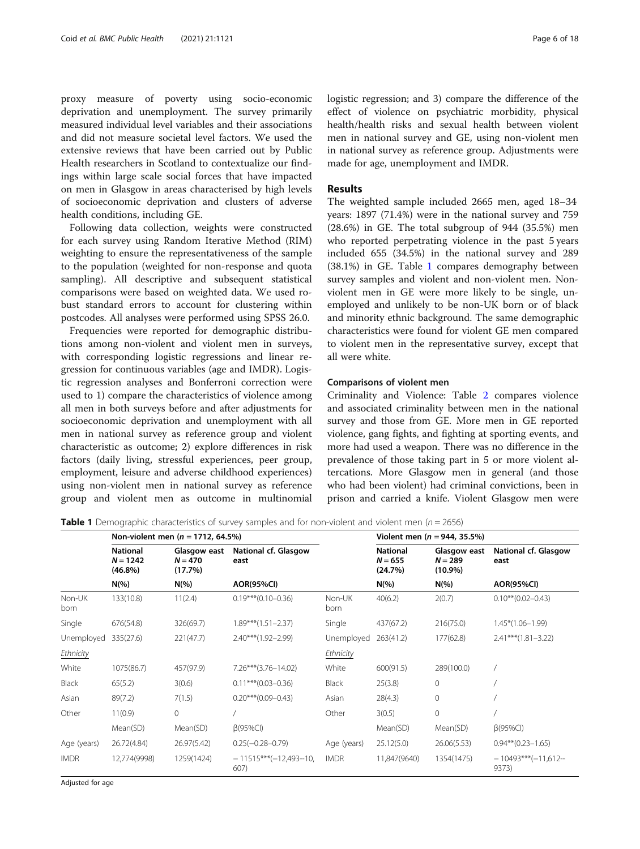proxy measure of poverty using socio-economic deprivation and unemployment. The survey primarily measured individual level variables and their associations and did not measure societal level factors. We used the extensive reviews that have been carried out by Public Health researchers in Scotland to contextualize our findings within large scale social forces that have impacted on men in Glasgow in areas characterised by high levels of socioeconomic deprivation and clusters of adverse health conditions, including GE.

Following data collection, weights were constructed for each survey using Random Iterative Method (RIM) weighting to ensure the representativeness of the sample to the population (weighted for non-response and quota sampling). All descriptive and subsequent statistical comparisons were based on weighted data. We used robust standard errors to account for clustering within postcodes. All analyses were performed using SPSS 26.0.

Frequencies were reported for demographic distributions among non-violent and violent men in surveys, with corresponding logistic regressions and linear regression for continuous variables (age and IMDR). Logistic regression analyses and Bonferroni correction were used to 1) compare the characteristics of violence among all men in both surveys before and after adjustments for socioeconomic deprivation and unemployment with all men in national survey as reference group and violent characteristic as outcome; 2) explore differences in risk factors (daily living, stressful experiences, peer group, employment, leisure and adverse childhood experiences) using non-violent men in national survey as reference group and violent men as outcome in multinomial logistic regression; and 3) compare the difference of the effect of violence on psychiatric morbidity, physical health/health risks and sexual health between violent men in national survey and GE, using non-violent men in national survey as reference group. Adjustments were made for age, unemployment and IMDR.

#### Results

The weighted sample included 2665 men, aged 18–34 years: 1897 (71.4%) were in the national survey and 759 (28.6%) in GE. The total subgroup of 944 (35.5%) men who reported perpetrating violence in the past 5 years included 655 (34.5%) in the national survey and 289 (38.1%) in GE. Table 1 compares demography between survey samples and violent and non-violent men. Nonviolent men in GE were more likely to be single, unemployed and unlikely to be non-UK born or of black and minority ethnic background. The same demographic characteristics were found for violent GE men compared to violent men in the representative survey, except that all were white.

#### Comparisons of violent men

Criminality and Violence: Table [2](#page-6-0) compares violence and associated criminality between men in the national survey and those from GE. More men in GE reported violence, gang fights, and fighting at sporting events, and more had used a weapon. There was no difference in the prevalence of those taking part in 5 or more violent altercations. More Glasgow men in general (and those who had been violent) had criminal convictions, been in prison and carried a knife. Violent Glasgow men were

**Table 1** Demographic characteristics of survey samples and for non-violent and violent men ( $n = 2656$ )

|                |                                             | Non-violent men ( $n = 1712, 64.5\%$ ) |                                 |                | Violent men ( $n = 944, 35.5\%$ )       |                                         |                               |  |
|----------------|---------------------------------------------|----------------------------------------|---------------------------------|----------------|-----------------------------------------|-----------------------------------------|-------------------------------|--|
|                | <b>National</b><br>$N = 1242$<br>$(46.8\%)$ | Glasgow east<br>$N = 470$<br>(17.7%)   | National cf. Glasgow<br>east    |                | <b>National</b><br>$N = 655$<br>(24.7%) | Glasgow east<br>$N = 289$<br>$(10.9\%)$ | National cf. Glasgow<br>east  |  |
|                | $N(\%)$                                     | $N(\%)$                                | <b>AOR(95%CI)</b>               |                | $N(\%)$                                 | $N(\%)$                                 | <b>AOR(95%CI)</b>             |  |
| Non-UK<br>born | 133(10.8)                                   | 11(2.4)                                | $0.19***(0.10-0.36)$            | Non-UK<br>born | 40(6.2)                                 | 2(0.7)                                  | $0.10***(0.02-0.43)$          |  |
| Single         | 676(54.8)                                   | 326(69.7)                              | $1.89***$ (1.51-2.37)           | Single         | 437(67.2)                               | 216(75.0)                               | $1.45*(1.06 - 1.99)$          |  |
| Unemployed     | 335(27.6)                                   | 221(47.7)                              | $2.40***$ (1.92-2.99)           | Unemployed     | 263(41.2)                               | 177(62.8)                               | $2.41***$ (1.81 - 3.22)       |  |
| Ethnicity      |                                             |                                        |                                 | Ethnicity      |                                         |                                         |                               |  |
| White          | 1075(86.7)                                  | 457(97.9)                              | $7.26***$ (3.76-14.02)          | White          | 600(91.5)                               | 289(100.0)                              |                               |  |
| <b>Black</b>   | 65(5.2)                                     | 3(0.6)                                 | $0.11***$ (0.03-0.36)           | <b>Black</b>   | 25(3.8)                                 | $\mathbf{0}$                            |                               |  |
| Asian          | 89(7.2)                                     | 7(1.5)                                 | $0.20***$ (0.09-0.43)           | Asian          | 28(4.3)                                 | $\mathbf{0}$                            |                               |  |
| Other          | 11(0.9)                                     | $\mathbf{0}$                           |                                 | Other          | 3(0.5)                                  | $\mathbf 0$                             |                               |  |
|                | Mean(SD)                                    | Mean(SD)                               | $\beta$ (95%CI)                 |                | Mean(SD)                                | Mean(SD)                                | $\beta$ (95%CI)               |  |
| Age (years)    | 26.72(4.84)                                 | 26.97(5.42)                            | $0.25(-0.28-0.79)$              | Age (years)    | 25.12(5.0)                              | 26.06(5.53)                             | $0.94**$ $(0.23-1.65)$        |  |
| <b>IMDR</b>    | 12,774(9998)                                | 1259(1424)                             | $-11515***(-12,493-10,$<br>607) | <b>IMDR</b>    | 11,847(9640)                            | 1354(1475)                              | $-10493***(-11,612-$<br>9373) |  |

Adjusted for age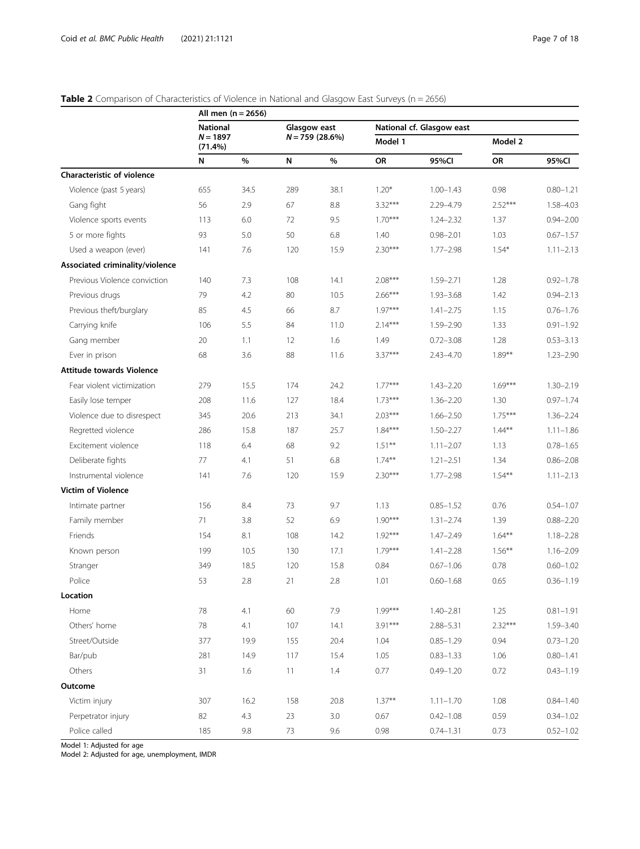| Page 7 of 1 |  |  |
|-------------|--|--|
|             |  |  |

<span id="page-6-0"></span>

| Table 2 Comparison of Characteristics of Violence in National and Glasgow East Surveys (n = 2656) |
|---------------------------------------------------------------------------------------------------|
|---------------------------------------------------------------------------------------------------|

|                                  |                       | All men $(n = 2656)$ |              |                  |           |                           |           |               |
|----------------------------------|-----------------------|----------------------|--------------|------------------|-----------|---------------------------|-----------|---------------|
|                                  | <b>National</b>       |                      | Glasgow east |                  |           | National cf. Glasgow east |           |               |
|                                  | $N = 1897$<br>(71.4%) |                      |              | $N = 759(28.6%)$ | Model 1   |                           | Model 2   |               |
|                                  | N                     | %                    | ${\sf N}$    | %                | OR        | 95%Cl                     | OR        | 95%CI         |
| Characteristic of violence       |                       |                      |              |                  |           |                           |           |               |
| Violence (past 5 years)          | 655                   | 34.5                 | 289          | 38.1             | $1.20*$   | $1.00 - 1.43$             | 0.98      | $0.80 - 1.21$ |
| Gang fight                       | 56                    | 2.9                  | 67           | 8.8              | $3.32***$ | 2.29-4.79                 | $2.52***$ | 1.58-4.03     |
| Violence sports events           | 113                   | 6.0                  | 72           | 9.5              | $1.70***$ | $1.24 - 2.32$             | 1.37      | $0.94 - 2.00$ |
| 5 or more fights                 | 93                    | 5.0                  | 50           | 6.8              | 1.40      | $0.98 - 2.01$             | 1.03      | $0.67 - 1.57$ |
| Used a weapon (ever)             | 141                   | 7.6                  | 120          | 15.9             | $2.30***$ | $1.77 - 2.98$             | $1.54*$   | $1.11 - 2.13$ |
| Associated criminality/violence  |                       |                      |              |                  |           |                           |           |               |
| Previous Violence conviction     | 140                   | 7.3                  | 108          | 14.1             | $2.08***$ | $1.59 - 2.71$             | 1.28      | $0.92 - 1.78$ |
| Previous drugs                   | 79                    | 4.2                  | 80           | 10.5             | $2.66***$ | $1.93 - 3.68$             | 1.42      | $0.94 - 2.13$ |
| Previous theft/burglary          | 85                    | 4.5                  | 66           | 8.7              | $1.97***$ | $1.41 - 2.75$             | 1.15      | $0.76 - 1.76$ |
| Carrying knife                   | 106                   | 5.5                  | 84           | 11.0             | $2.14***$ | $1.59 - 2.90$             | 1.33      | $0.91 - 1.92$ |
| Gang member                      | 20                    | 1.1                  | 12           | 1.6              | 1.49      | $0.72 - 3.08$             | 1.28      | $0.53 - 3.13$ |
| Ever in prison                   | 68                    | 3.6                  | 88           | 11.6             | $3.37***$ | $2.43 - 4.70$             | $1.89***$ | $1.23 - 2.90$ |
| <b>Attitude towards Violence</b> |                       |                      |              |                  |           |                           |           |               |
| Fear violent victimization       | 279                   | 15.5                 | 174          | 24.2             | $1.77***$ | $1.43 - 2.20$             | $1.69***$ | $1.30 - 2.19$ |
| Easily lose temper               | 208                   | 11.6                 | 127          | 18.4             | $1.73***$ | $1.36 - 2.20$             | 1.30      | $0.97 - 1.74$ |
| Violence due to disrespect       | 345                   | 20.6                 | 213          | 34.1             | $2.03***$ | $1.66 - 2.50$             | $1.75***$ | $1.36 - 2.24$ |
| Regretted violence               | 286                   | 15.8                 | 187          | 25.7             | $1.84***$ | $1.50 - 2.27$             | $1.44**$  | $1.11 - 1.86$ |
| Excitement violence              | 118                   | 6.4                  | 68           | 9.2              | $1.51***$ | $1.11 - 2.07$             | 1.13      | $0.78 - 1.65$ |
| Deliberate fights                | 77                    | 4.1                  | 51           | 6.8              | $1.74***$ | $1.21 - 2.51$             | 1.34      | $0.86 - 2.08$ |
| Instrumental violence            | 141                   | 7.6                  | 120          | 15.9             | $2.30***$ | $1.77 - 2.98$             | $1.54***$ | $1.11 - 2.13$ |
| <b>Victim of Violence</b>        |                       |                      |              |                  |           |                           |           |               |
| Intimate partner                 | 156                   | 8.4                  | 73           | 9.7              | 1.13      | $0.85 - 1.52$             | 0.76      | $0.54 - 1.07$ |
| Family member                    | 71                    | 3.8                  | 52           | 6.9              | $1.90***$ | $1.31 - 2.74$             | 1.39      | $0.88 - 2.20$ |
| Friends                          | 154                   | 8.1                  | 108          | 14.2             | $1.92***$ | $1.47 - 2.49$             | $1.64***$ | $1.18 - 2.28$ |
| Known person                     | 199                   | 10.5                 | 130          | 17.1             | $1.79***$ | $1.41 - 2.28$             | $1.56***$ | $1.16 - 2.09$ |
| Stranger                         | 349                   | 18.5                 | 120          | 15.8             | 0.84      | $0.67 - 1.06$             | 0.78      | $0.60 - 1.02$ |
| Police                           | 53                    | 2.8                  | 21           | 2.8              | 1.01      | $0.60 - 1.68$             | 0.65      | $0.36 - 1.19$ |
| Location                         |                       |                      |              |                  |           |                           |           |               |
| Home                             | 78                    | 4.1                  | 60           | 7.9              | $1.99***$ | $1.40 - 2.81$             | 1.25      | $0.81 - 1.91$ |
| Others' home                     | 78                    | 4.1                  | 107          | 14.1             | $3.91***$ | $2.88 - 5.31$             | $2.32***$ | 1.59-3.40     |
| Street/Outside                   | 377                   | 19.9                 | 155          | 20.4             | 1.04      | $0.85 - 1.29$             | 0.94      | $0.73 - 1.20$ |
| Bar/pub                          | 281                   | 14.9                 | 117          | 15.4             | 1.05      | $0.83 - 1.33$             | 1.06      | $0.80 - 1.41$ |
| Others                           | 31                    | 1.6                  | 11           | 1.4              | 0.77      | $0.49 - 1.20$             | 0.72      | $0.43 - 1.19$ |
| Outcome                          |                       |                      |              |                  |           |                           |           |               |
| Victim injury                    | 307                   | 16.2                 | 158          | 20.8             | $1.37**$  | $1.11 - 1.70$             | 1.08      | $0.84 - 1.40$ |
| Perpetrator injury               | 82                    | 4.3                  | 23           | 3.0              | 0.67      | $0.42 - 1.08$             | 0.59      | $0.34 - 1.02$ |
| Police called                    | 185                   | 9.8                  | 73           | 9.6              | 0.98      | $0.74 - 1.31$             | 0.73      | $0.52 - 1.02$ |

Model 1: Adjusted for age

Model 2: Adjusted for age, unemployment, IMDR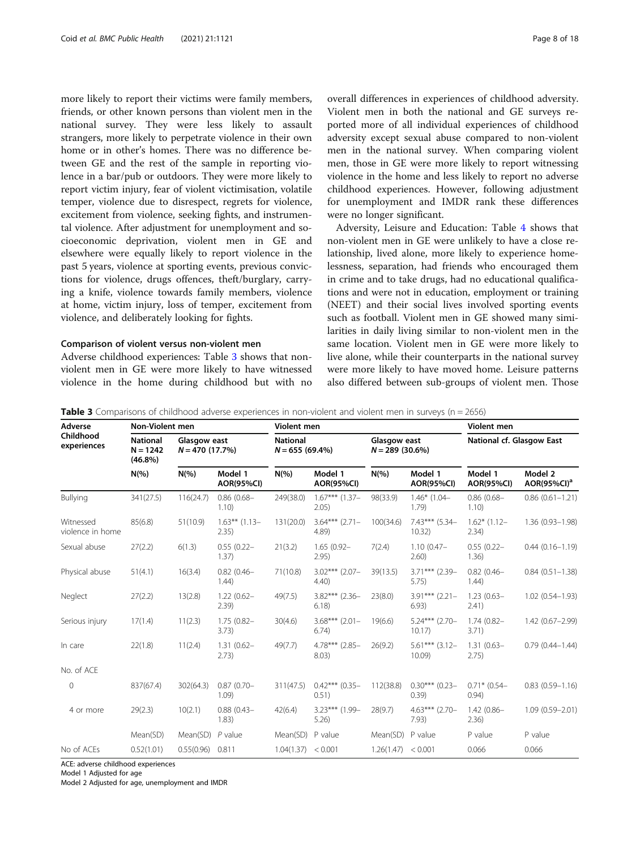more likely to report their victims were family members, friends, or other known persons than violent men in the national survey. They were less likely to assault strangers, more likely to perpetrate violence in their own home or in other's homes. There was no difference between GE and the rest of the sample in reporting violence in a bar/pub or outdoors. They were more likely to report victim injury, fear of violent victimisation, volatile temper, violence due to disrespect, regrets for violence, excitement from violence, seeking fights, and instrumental violence. After adjustment for unemployment and socioeconomic deprivation, violent men in GE and elsewhere were equally likely to report violence in the past 5 years, violence at sporting events, previous convictions for violence, drugs offences, theft/burglary, carrying a knife, violence towards family members, violence at home, victim injury, loss of temper, excitement from violence, and deliberately looking for fights.

#### Comparison of violent versus non-violent men

Adverse childhood experiences: Table 3 shows that nonviolent men in GE were more likely to have witnessed violence in the home during childhood but with no overall differences in experiences of childhood adversity. Violent men in both the national and GE surveys reported more of all individual experiences of childhood adversity except sexual abuse compared to non-violent men in the national survey. When comparing violent men, those in GE were more likely to report witnessing violence in the home and less likely to report no adverse childhood experiences. However, following adjustment for unemployment and IMDR rank these differences were no longer significant.

Adversity, Leisure and Education: Table [4](#page-8-0) shows that non-violent men in GE were unlikely to have a close relationship, lived alone, more likely to experience homelessness, separation, had friends who encouraged them in crime and to take drugs, had no educational qualifications and were not in education, employment or training (NEET) and their social lives involved sporting events such as football. Violent men in GE showed many similarities in daily living similar to non-violent men in the same location. Violent men in GE were more likely to live alone, while their counterparts in the national survey were more likely to have moved home. Leisure patterns also differed between sub-groups of violent men. Those

**Table 3** Comparisons of childhood adverse experiences in non-violent and violent men in surveys (n = 2656)

| Adverse                       | <b>Non-Violent men</b>                      |                                  |                              | <b>Violent men</b> |                              | Violent men        |                                   |                              |                            |  |
|-------------------------------|---------------------------------------------|----------------------------------|------------------------------|--------------------|------------------------------|--------------------|-----------------------------------|------------------------------|----------------------------|--|
| Childhood<br>experiences      | <b>National</b><br>$N = 1242$<br>$(46.8\%)$ | Glasgow east<br>$N = 470(17.7%)$ |                              | <b>National</b>    | $N = 655(69.4%)$             |                    | Glasgow east<br>$N = 289$ (30.6%) |                              | National cf. Glasgow East  |  |
|                               | $N(\% )$                                    | $N(\% )$                         | Model 1<br><b>AOR(95%CI)</b> | $N(\% )$           | Model 1<br><b>AOR(95%CI)</b> | $N(\% )$           | Model 1<br><b>AOR(95%CI)</b>      | Model 1<br><b>AOR(95%CI)</b> | Model 2<br>$AOR(95\%CI)^a$ |  |
| Bullying                      | 341(27.5)                                   | 116(24.7)                        | $0.86(0.68 -$<br>1.10)       | 249(38.0)          | $1.67***$ (1.37-<br>2.05)    | 98(33.9)           | $1.46*$ (1.04-<br>1.79)           | $0.86(0.68 -$<br>1.10)       | $0.86(0.61 - 1.21)$        |  |
| Witnessed<br>violence in home | 85(6.8)                                     | 51(10.9)                         | $1.63***$ (1.13-<br>2.35)    | 131(20.0)          | $3.64***$ (2.71-<br>4.89)    | 100(34.6)          | 7.43*** (5.34-<br>10.32)          | $1.62*$ (1.12-<br>2.34)      | $1.36(0.93 - 1.98)$        |  |
| Sexual abuse                  | 27(2.2)                                     | 6(1.3)                           | $0.55(0.22 -$<br>1.37)       | 21(3.2)            | $1.65(0.92 -$<br>2.95)       | 7(2.4)             | $1.10(0.47 -$<br>$2.60$ )         | $0.55(0.22 -$<br>1.36)       | $0.44(0.16 - 1.19)$        |  |
| Physical abuse                | 51(4.1)                                     | 16(3.4)                          | $0.82(0.46 -$<br>1.44)       | 71(10.8)           | $3.02***$ (2.07-<br>$4.40$ ) | 39(13.5)           | 3.71*** (2.39-<br>5.75)           | $0.82(0.46 -$<br>1.44)       | $0.84(0.51 - 1.38)$        |  |
| Neglect                       | 27(2.2)                                     | 13(2.8)                          | $1.22(0.62 -$<br>2.39)       | 49(7.5)            | $3.82***$ (2.36-<br>6.18     | 23(8.0)            | $3.91***$ (2.21-<br>6.93)         | $1.23(0.63 -$<br>2.41)       | $1.02(0.54 - 1.93)$        |  |
| Serious injury                | 17(1.4)                                     | 11(2.3)                          | $1.75(0.82 -$<br>3.73)       | 30(4.6)            | $3.68***$ (2.01-<br>6.74)    | 19(6.6)            | $5.24***$ (2.70-<br>10.17         | $1.74(0.82 -$<br>3.71)       | $1.42(0.67 - 2.99)$        |  |
| In care                       | 22(1.8)                                     | 11(2.4)                          | $1.31(0.62 -$<br>2.73)       | 49(7.7)            | $4.78***$ (2.85-<br>8.03)    | 26(9.2)            | $5.61***$ (3.12-<br>10.09         | $1.31(0.63 -$<br>2.75)       | $0.79(0.44 - 1.44)$        |  |
| No. of ACE                    |                                             |                                  |                              |                    |                              |                    |                                   |                              |                            |  |
| 0                             | 837(67.4)                                   | 302(64.3)                        | $0.87(0.70 -$<br>1.09)       | 311(47.5)          | $0.42***$ (0.35-<br>0.51)    | 112(38.8)          | $0.30***$ (0.23-<br>(0.39)        | $0.71*$ (0.54-<br>0.94)      | $0.83(0.59 - 1.16)$        |  |
| 4 or more                     | 29(2.3)                                     | 10(2.1)                          | $0.88(0.43 -$<br>1.83)       | 42(6.4)            | $3.23***$ (1.99-<br>5.26     | 28(9.7)            | $4.63***$ (2.70-<br>7.93          | $1.42(0.86 -$<br>2.36        | $1.09(0.59 - 2.01)$        |  |
|                               | Mean(SD)                                    | Mean(SD)                         | $P$ value                    | Mean(SD)           | P value                      | Mean(SD)           | P value                           | P value                      | P value                    |  |
| No of ACEs                    | 0.52(1.01)                                  | 0.55(0.96)                       | 0.811                        | 1.04(1.37)         | < 0.001                      | 1.26(1.47) < 0.001 |                                   | 0.066                        | 0.066                      |  |

ACE: adverse childhood experiences

Model 1 Adjusted for age

Model 2 Adjusted for age, unemployment and IMDR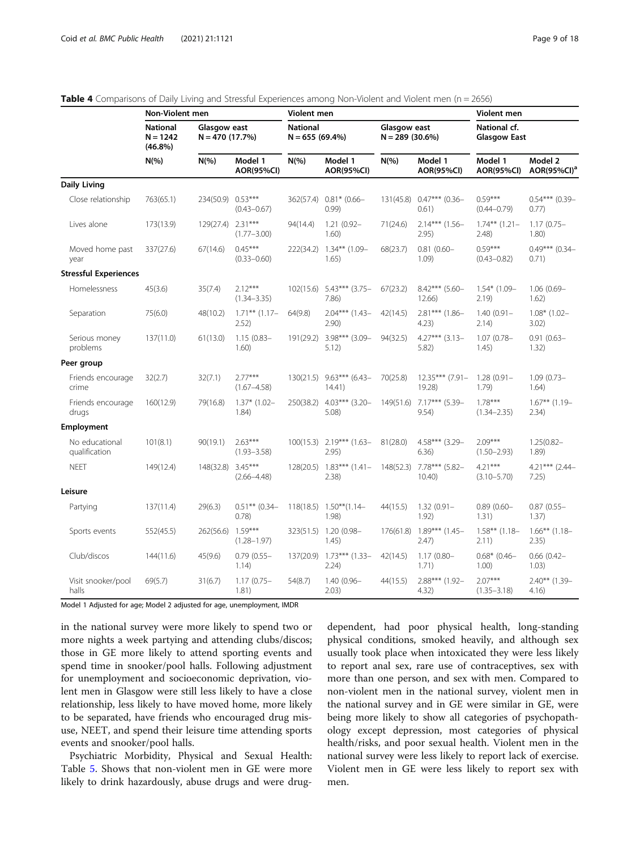|                                 | Non-Violent men                             |                                  |                              | <b>Violent men</b> |                                        | <b>Violent men</b> |                              |                                     |                                    |
|---------------------------------|---------------------------------------------|----------------------------------|------------------------------|--------------------|----------------------------------------|--------------------|------------------------------|-------------------------------------|------------------------------------|
|                                 | <b>National</b><br>$N = 1242$<br>$(46.8\%)$ | Glasgow east<br>$N = 470(17.7%)$ |                              | <b>National</b>    | Glasgow east<br>$N = 655(69.4%)$       |                    | $N = 289$ (30.6%)            | National cf.<br><b>Glasgow East</b> |                                    |
|                                 | $N(\%)$                                     | $N(\%)$                          | Model 1<br><b>AOR(95%CI)</b> | $N(\%)$            | Model 1<br><b>AOR(95%CI)</b>           | $N(\%)$            | Model 1<br><b>AOR(95%CI)</b> | Model 1<br><b>AOR(95%CI)</b>        | Model 2<br>AOR(95%CI) <sup>a</sup> |
| <b>Daily Living</b>             |                                             |                                  |                              |                    |                                        |                    |                              |                                     |                                    |
| Close relationship              | 763(65.1)                                   | 234(50.9)                        | $0.53***$<br>$(0.43 - 0.67)$ | 362(57.4)          | $0.81*$ (0.66-<br>(0.99)               | 131(45.8)          | $0.47***$ (0.36-<br>0.61)    | $0.59***$<br>$(0.44 - 0.79)$        | $0.54***$ (0.39-<br>0.77)          |
| Lives alone                     | 173(13.9)                                   | 129(27.4) 2.31***                | $(1.77 - 3.00)$              | 94(14.4)           | $1.21(0.92 -$<br>1,60)                 | 71(24.6)           | 2.14*** (1.56-<br>2.95)      | $1.74***$ $(1.21-$<br>2.48          | $1.17(0.75 -$<br>1.80)             |
| Moved home past<br>year         | 337(27.6)                                   | 67(14.6)                         | $0.45***$<br>$(0.33 - 0.60)$ | 222(34.2)          | $1.34***$ (1.09-<br>1.65)              | 68(23.7)           | $0.81(0.60 -$<br>1.09)       | $0.59***$<br>$(0.43 - 0.82)$        | $0.49***$ (0.34-<br>0.71)          |
| <b>Stressful Experiences</b>    |                                             |                                  |                              |                    |                                        |                    |                              |                                     |                                    |
| Homelessness                    | 45(3.6)                                     | 35(7.4)                          | $2.12***$<br>$(1.34 - 3.35)$ | 102(15.6)          | $5.43***$ (3.75-<br>7.86)              | 67(23.2)           | $8.42***$ (5.60-<br>12.66)   | $1.54*$ (1.09-<br>2.19              | 1.06 (0.69-<br>1.62)               |
| Separation                      | 75(6.0)                                     | 48(10.2)                         | $1.71***$ (1.17-<br>2.52)    | 64(9.8)            | $2.04***$ (1.43-<br>2.90)              | 42(14.5)           | $2.81***$ (1.86-<br>4.23)    | $1.40(0.91 -$<br>2.14)              | $1.08*$ (1.02-<br>3.02)            |
| Serious money<br>problems       | 137(11.0)                                   | 61(13.0)                         | $1.15(0.83 -$<br>1.60)       |                    | 191(29.2) 3.98*** (3.09-<br>5.12)      | 94(32.5)           | $4.27***$ (3.13-<br>5.82)    | $1.07(0.78 -$<br>1.45)              | $0.91(0.63 -$<br>1.32)             |
| Peer group                      |                                             |                                  |                              |                    |                                        |                    |                              |                                     |                                    |
| Friends encourage<br>crime      | 32(2.7)                                     | 32(7.1)                          | $2.77***$<br>$(1.67 - 4.58)$ | 130(21.5)          | $9.63***$ (6.43-<br>14.41)             | 70(25.8)           | 12.35*** (7.91-<br>19.28)    | $1.28(0.91 -$<br>1.79               | $1.09(0.73 -$<br>1.64)             |
| Friends encourage<br>drugs      | 160(12.9)                                   | 79(16.8)                         | $1.37*$ (1.02-<br>1.84)      | 250(38.2)          | $4.03***$ (3.20-<br>5.08               | 149(51.6)          | $7.17***$ (5.39-<br>9.54)    | $1.78***$<br>$(1.34 - 2.35)$        | $1.67***$ (1.19-<br>2.34)          |
| Employment                      |                                             |                                  |                              |                    |                                        |                    |                              |                                     |                                    |
| No educational<br>qualification | 101(8.1)                                    | 90(19.1)                         | $2.63***$<br>$(1.93 - 3.58)$ |                    | $100(15.3)$ 2.19*** $(1.63-$<br>2.95)  | 81(28.0)           | 4.58*** (3.29-<br>6.36)      | $2.09***$<br>$(1.50 - 2.93)$        | $1.25(0.82 -$<br>1.89)             |
| <b>NEET</b>                     | 149(12.4)                                   | 148(32.8)                        | $3.45***$<br>$(2.66 - 4.48)$ |                    | $128(20.5)$ $1.83***$ $(1.41-$<br>2.38 | 148(52.3)          | $7.78***$ (5.82-<br>10.40    | $4.21***$<br>$(3.10 - 5.70)$        | $4.21***$ (2.44-<br>7.25)          |
| Leisure                         |                                             |                                  |                              |                    |                                        |                    |                              |                                     |                                    |
| Partying                        | 137(11.4)                                   | 29(6.3)                          | $0.51***$ (0.34-<br>0.78)    |                    | $118(18.5)$ $1.50**$ (1.14-<br>1.98)   | 44(15.5)           | $1.32(0.91 -$<br>1.92)       | $0.89(0.60 -$<br>1.31)              | $0.87(0.55 -$<br>1.37)             |
| Sports events                   | 552(45.5)                                   | 262(56.6)                        | $1.59***$<br>$(1.28 - 1.97)$ |                    | 323(51.5) 1.20 (0.98-<br>1.45)         | 176(61.8)          | $1.89***$ (1.45-<br>2.47)    | $1.58**$ (1.18-<br>2.11)            | $1.66***$ (1.18-<br>2.35)          |
| Club/discos                     | 144(11.6)                                   | 45(9.6)                          | $0.79$ $(0.55 -$<br>1.14)    |                    | 137(20.9) 1.73*** (1.33-<br>2.24)      | 42(14.5)           | $1.17(0.80 -$<br>1.71)       | $0.68*$ (0.46-<br>$1.00$ )          | $0.66$ $(0.42 -$<br>1.03)          |
| Visit snooker/pool<br>halls     | 69(5.7)                                     | 31(6.7)                          | $1.17(0.75 -$<br>1.81)       | 54(8.7)            | $1.40(0.96 -$<br>2.03)                 | 44(15.5)           | 2.88*** (1.92-<br>4.32)      | $2.07***$<br>$(1.35 - 3.18)$        | 2.40** (1.39-<br>4.16)             |

#### <span id="page-8-0"></span>Table 4 Comparisons of Daily Living and Stressful Experiences among Non-Violent and Violent men (n = 2656)

Model 1 Adjusted for age; Model 2 adjusted for age, unemployment, IMDR

in the national survey were more likely to spend two or more nights a week partying and attending clubs/discos; those in GE more likely to attend sporting events and spend time in snooker/pool halls. Following adjustment for unemployment and socioeconomic deprivation, violent men in Glasgow were still less likely to have a close relationship, less likely to have moved home, more likely to be separated, have friends who encouraged drug misuse, NEET, and spend their leisure time attending sports events and snooker/pool halls.

Psychiatric Morbidity, Physical and Sexual Health: Table [5](#page-9-0). Shows that non-violent men in GE were more likely to drink hazardously, abuse drugs and were drug-

dependent, had poor physical health, long-standing physical conditions, smoked heavily, and although sex usually took place when intoxicated they were less likely to report anal sex, rare use of contraceptives, sex with more than one person, and sex with men. Compared to non-violent men in the national survey, violent men in the national survey and in GE were similar in GE, were being more likely to show all categories of psychopathology except depression, most categories of physical health/risks, and poor sexual health. Violent men in the national survey were less likely to report lack of exercise. Violent men in GE were less likely to report sex with men.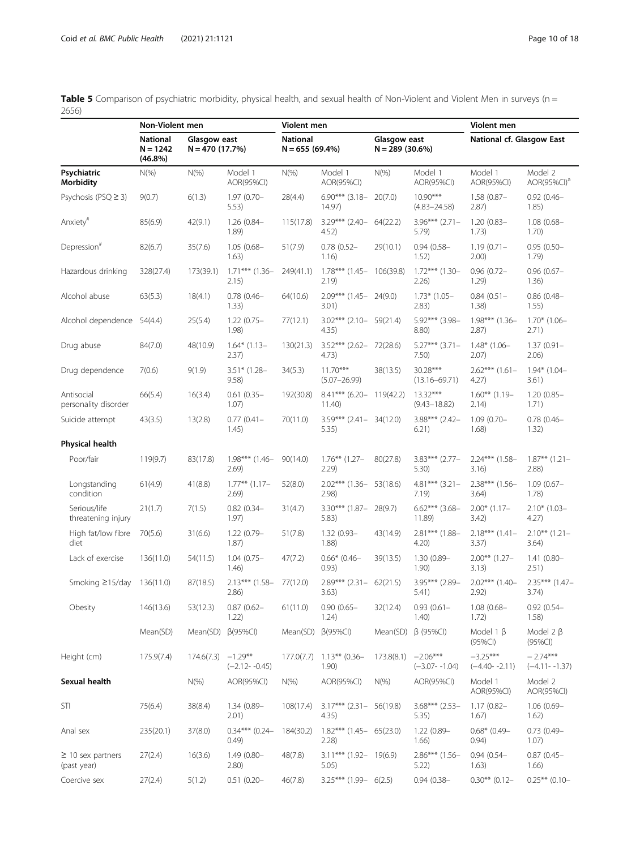|                                       | Non-Violent men                             |            |                                  | Violent men |                                     |                                   |                                 | Violent men                     |                                    |  |
|---------------------------------------|---------------------------------------------|------------|----------------------------------|-------------|-------------------------------------|-----------------------------------|---------------------------------|---------------------------------|------------------------------------|--|
|                                       | <b>National</b><br>$N = 1242$<br>$(46.8\%)$ |            | Glasgow east<br>$N = 470(17.7%)$ |             | $N = 655(69.4%)$                    | Glasgow east<br>$N = 289$ (30.6%) |                                 | National cf. Glasgow East       |                                    |  |
| Psychiatric<br><b>Morbidity</b>       | $N(\%)$                                     | $N(\% )$   | Model 1<br>AOR(95%CI)            | $N(\%)$     | Model 1<br>AOR(95%CI)               | $N(\% )$                          | Model 1<br>AOR(95%CI)           | Model 1<br>AOR(95%CI)           | Model 2<br>AOR(95%CI) <sup>a</sup> |  |
| Psychosis (PSQ ≥ 3)                   | 9(0.7)                                      | 6(1.3)     | $1.97(0.70 -$<br>5.53)           | 28(4.4)     | $6.90***$ (3.18- 20(7.0)<br>14.97)  |                                   | $10.90***$<br>$(4.83 - 24.58)$  | $1.58(0.87 -$<br>2.87)          | $0.92(0.46 -$<br>1.85)             |  |
| Anxiety <sup>#</sup>                  | 85(6.9)                                     | 42(9.1)    | $1.26(0.84 -$<br>1.89            | 115(17.8)   | $3.29***$ (2.40- 64(22.2)<br>4.52)  |                                   | $3.96***$ (2.71-<br>5.79)       | $1.20(0.83 -$<br>1.73)          | $1.08(0.68 -$<br>1.70)             |  |
| Depression <sup>#</sup>               | 82(6.7)                                     | 35(7.6)    | $1.05(0.68 -$<br>1.63)           | 51(7.9)     | $0.78(0.52 -$<br>1.16)              | 29(10.1)                          | $0.94(0.58 -$<br>1.52)          | $1.19(0.71 -$<br>2.00)          | $0.95(0.50 -$<br>1.79)             |  |
| Hazardous drinking                    | 328(27.4)                                   | 173(39.1)  | $1.71***$ (1.36-<br>2.15)        | 249(41.1)   | $1.78***$ (1.45- 106(39.8)<br>2.19) |                                   | $1.72***$ (1.30-<br>2.26)       | $0.96(0.72 -$<br>1.29)          | $0.96$ $(0.67 -$<br>1.36)          |  |
| Alcohol abuse                         | 63(5.3)                                     | 18(4.1)    | $0.78$ (0.46-<br>1.33)           | 64(10.6)    | $2.09***$ (1.45-<br>3.01)           | 24(9.0)                           | $1.73*$ (1.05-<br>2.83)         | $0.84(0.51 -$<br>1.38)          | $0.86$ (0.48-<br>1.55)             |  |
| Alcohol dependence 54(4.4)            |                                             | 25(5.4)    | $1.22(0.75 -$<br>1.98)           | 77(12.1)    | $3.02***$ (2.10- 59(21.4)<br>4.35)  |                                   | 5.92*** (3.98-<br>8.80)         | $1.98***$ (1.36-<br>2.87)       | $1.70*$ (1.06-<br>2.71)            |  |
| Drug abuse                            | 84(7.0)                                     | 48(10.9)   | $1.64*$ (1.13-<br>2.37)          | 130(21.3)   | 3.52*** (2.62- 72(28.6)<br>4.73)    |                                   | $5.27***$ (3.71-<br>7.50)       | $1.48*$ (1.06-<br>2.07)         | $1.37(0.91 -$<br>2.06)             |  |
| Drug dependence                       | 7(0.6)                                      | 9(1.9)     | $3.51*$ (1.28-<br>9.58)          | 34(5.3)     | $11.70***$<br>$(5.07 - 26.99)$      | 38(13.5)                          | $30.28***$<br>$(13.16 - 69.71)$ | $2.62***$ (1.61-<br>4.27)       | $1.94*$ (1.04-<br>3.61)            |  |
| Antisocial<br>personality disorder    | 66(5.4)                                     | 16(3.4)    | $0.61(0.35 -$<br>1.07)           | 192(30.8)   | 8.41*** (6.20- 119(42.2)<br>11.40)  |                                   | $13.32***$<br>$(9.43 - 18.82)$  | $1.60***$ (1.19-<br>2.14)       | $1.20(0.85 -$<br>1.71)             |  |
| Suicide attempt                       | 43(3.5)                                     | 13(2.8)    | $0.77(0.41 -$<br>1.45)           | 70(11.0)    | $3.59***$ (2.41- 34(12.0)<br>5.35)  |                                   | $3.88***$ (2.42-<br>6.21)       | $1.09(0.70 -$<br>1.68)          | $0.78$ (0.46-<br>1.32)             |  |
| Physical health                       |                                             |            |                                  |             |                                     |                                   |                                 |                                 |                                    |  |
| Poor/fair                             | 119(9.7)                                    | 83(17.8)   | $1.98***$ (1.46-<br>2.69         | 90(14.0)    | $1.76***$ (1.27-<br>2.29            | 80(27.8)                          | $3.83***$ (2.77-<br>5.30)       | 2.24*** (1.58-<br>3.16)         | $1.87**$ (1.21-<br>2.88            |  |
| Longstanding<br>condition             | 61(4.9)                                     | 41(8.8)    | $1.77***$ $(1.17-$<br>2.69)      | 52(8.0)     | $2.02***$ (1.36- 53(18.6)<br>2.98)  |                                   | $4.81***$ (3.21-<br>7.19)       | $2.38***$ (1.56-<br>3.64)       | $1.09(0.67 -$<br>1.78)             |  |
| Serious/life<br>threatening injury    | 21(1.7)                                     | 7(1.5)     | $0.82(0.34 -$<br>1.97)           | 31(4.7)     | $3.30***$ (1.87-<br>5.83)           | 28(9.7)                           | $6.62***$ (3.68-<br>11.89)      | $2.00*$ (1.17-<br>3.42)         | $2.10*$ (1.03-<br>4.27)            |  |
| High fat/low fibre<br>diet            | 70(5.6)                                     | 31(6.6)    | 1.22 (0.79-<br>1.87)             | 51(7.8)     | $1.32(0.93 -$<br>1.88)              | 43(14.9)                          | $2.81***$ (1.88-<br>4.20)       | $2.18***$ (1.41-<br>3.37)       | $2.10***$ (1.21-<br>3.64)          |  |
| Lack of exercise                      | 136(11.0)                                   | 54(11.5)   | $1.04(0.75 -$<br>1.46)           | 47(7.2)     | $0.66*$ (0.46-<br>0.93)             | 39(13.5)                          | 1.30 (0.89-<br>1.90)            | $2.00***$ (1.27-<br>3.13)       | $1.41(0.80 -$<br>2.51)             |  |
| Smoking ≥15/day                       | 136(11.0)                                   | 87(18.5)   | $2.13***$ (1.58-<br>2.86)        | 77(12.0)    | $2.89***$ (2.31- 62(21.5)<br>3.63)  |                                   | 3.95*** (2.89-<br>5.41)         | $2.02***$ (1.40-<br>2.92)       | $2.35***$ (1.47-<br>3.74)          |  |
| Obesity                               | 146(13.6)                                   | 53(12.3)   | $0.87(0.62 -$<br>1.22)           | 61(11.0)    | $0.90(0.65 -$<br>1.24)              | 32(12.4)                          | $0.93(0.61 -$<br>1.40)          | $1.08(0.68 -$<br>1.72)          | $0.92(0.54 -$<br>1.58)             |  |
|                                       | Mean(SD)                                    | Mean(SD)   | $\beta$ (95%CI)                  | Mean(SD)    | $\beta$ (95%CI)                     | Mean(SD)                          | $\beta$ (95%CI)                 | Model 1 $\beta$<br>$(95\%CI)$   | Model $2 \beta$<br>(95%CI)         |  |
| Height (cm)                           | 175.9(7.4)                                  | 174.6(7.3) | $-1.29**$<br>$(-2.12 - -0.45)$   | 177.0(7.7)  | $1.13***$ (0.36-<br>1.90)           | 173.8(8.1)                        | $-2.06***$<br>$(-3.07 - 1.04)$  | $-3.25***$<br>$(-4.40 - -2.11)$ | $-2.74***$<br>$(-4.11 - -1.37)$    |  |
| Sexual health                         |                                             | $N(\%)$    | AOR(95%CI)                       | $N(\%)$     | AOR(95%CI)                          | $N(\% )$                          | AOR(95%CI)                      | Model 1<br>AOR(95%CI)           | Model 2<br>AOR(95%CI)              |  |
| STI                                   | 75(6.4)                                     | 38(8.4)    | $1.34(0.89 -$<br>2.01)           | 108(17.4)   | $3.17***$ (2.31- 56(19.8)<br>4.35)  |                                   | $3.68***$ (2.53-<br>5.35)       | $1.17(0.82 -$<br>1.67)          | $1.06(0.69 -$<br>1.62)             |  |
| Anal sex                              | 235(20.1)                                   | 37(8.0)    | $0.34***$ (0.24-<br>(0.49)       | 184(30.2)   | $1.82***$ (1.45- 65(23.0)<br>2.28   |                                   | $1.22(0.89 -$<br>1.66)          | $0.68*$ (0.49-<br>0.94)         | $0.73$ $(0.49 -$<br>1.07)          |  |
| $\geq$ 10 sex partners<br>(past year) | 27(2.4)                                     | 16(3.6)    | $1.49(0.80 -$<br>2.80)           | 48(7.8)     | $3.11***$ (1.92- 19(6.9)<br>5.05)   |                                   | $2.86***$ (1.56-<br>5.22)       | $0.94(0.54 -$<br>1.63)          | $0.87$ (0.45-<br>1.66)             |  |
| Coercive sex                          | 27(2.4)                                     | 5(1.2)     | $0.51(0.20 -$                    | 46(7.8)     | $3.25***$ (1.99- 6(2.5)             |                                   | $0.94(0.38 -$                   | $0.30**$ (0.12-                 | $0.25**$ (0.10-                    |  |

<span id="page-9-0"></span>Table 5 Comparison of psychiatric morbidity, physical health, and sexual health of Non-Violent and Violent Men in surveys (n = 2656)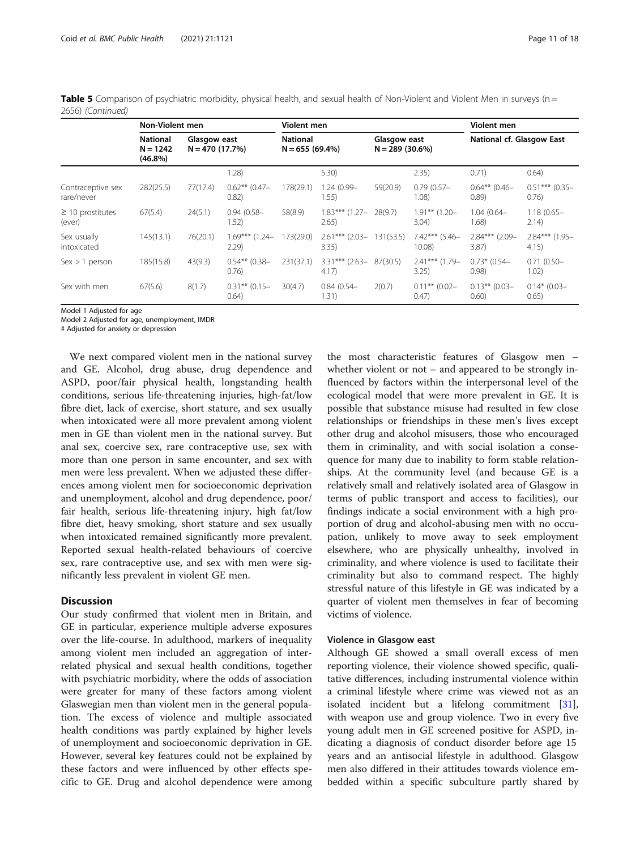| Table 5 Comparison of psychiatric morbidity, physical health, and sexual health of Non-Violent and Violent Men in surveys (n = |  |  |  |
|--------------------------------------------------------------------------------------------------------------------------------|--|--|--|
| 2656) (Continued)                                                                                                              |  |  |  |

|                                 | Non-Violent men                             |                                  |                           | Violent men                         |                           | Violent men                      |                           |                            |                           |
|---------------------------------|---------------------------------------------|----------------------------------|---------------------------|-------------------------------------|---------------------------|----------------------------------|---------------------------|----------------------------|---------------------------|
|                                 | <b>National</b><br>$N = 1242$<br>$(46.8\%)$ | Glasgow east<br>$N = 470(17.7%)$ |                           | <b>National</b><br>$N = 655(69.4%)$ |                           | Glasgow east<br>$N = 289(30.6%)$ |                           | National cf. Glasgow East  |                           |
|                                 |                                             |                                  | 1.28)                     |                                     | 5.30)                     |                                  | 2.35)                     | 0.71)                      | 0.64)                     |
| Contraceptive sex<br>rare/never | 282(25.5)                                   | 77(17.4)                         | $0.62**$ (0.47-<br>0.82)  | 178(29.1)                           | 1.24 (0.99-<br>1.55)      | 59(20.9)                         | $0.79(0.57 -$<br>1.08)    | $0.64***$ (0.46-<br>(0.89) | $0.51***$ (0.35-<br>0.76) |
| $\geq$ 10 prostitutes<br>(ever) | 67(5.4)                                     | 24(5.1)                          | $0.94(0.58 -$<br>1.52)    | 58(8.9)                             | $1.83***$ (1.27-<br>2.65) | 28(9.7)                          | $1.91***$ (1.20-<br>3.04) | $1.04(0.64 -$<br>1.68)     | $1.18(0.65 -$<br>2.14)    |
| Sex usually<br>intoxicated      | 145(13.1)                                   | 76(20.1)                         | $1.69***$ (1.24-<br>2.29  | 173(29.0)                           | $2.61***$ (2.03-<br>3.35) | 131(53.5)                        | $7.42***$ (5.46-<br>10.08 | $2.84***$ (2.09-<br>3.87)  | $2.84***$ (1.95-<br>4.15) |
| Sex > 1 person                  | 185(15.8)                                   | 43(9.3)                          | $0.54**$ (0.38-<br>0.76   | 231(37.1)                           | $3.31***$ (2.63-<br>4.17  | 87(30.5)                         | $2.41***$ (1.79-<br>3.25  | $0.73*$ (0.54-<br>0.98)    | $0.71(0.50 -$<br>1.02)    |
| Sex with men                    | 67(5.6)                                     | 8(1.7)                           | $0.31***$ (0.15-<br>0.64) | 30(4.7)                             | $0.84(0.54 -$<br>1.31)    | 2(0.7)                           | $0.11***$ (0.02-<br>0.47  | $0.13***$ (0.03-<br>0.60)  | $0.14*$ (0.03-<br>0.65)   |

Model 1 Adjusted for age

Model 2 Adjusted for age, unemployment, IMDR

# Adjusted for anxiety or depression

We next compared violent men in the national survey and GE. Alcohol, drug abuse, drug dependence and ASPD, poor/fair physical health, longstanding health conditions, serious life-threatening injuries, high-fat/low fibre diet, lack of exercise, short stature, and sex usually when intoxicated were all more prevalent among violent men in GE than violent men in the national survey. But anal sex, coercive sex, rare contraceptive use, sex with more than one person in same encounter, and sex with men were less prevalent. When we adjusted these differences among violent men for socioeconomic deprivation and unemployment, alcohol and drug dependence, poor/ fair health, serious life-threatening injury, high fat/low fibre diet, heavy smoking, short stature and sex usually when intoxicated remained significantly more prevalent. Reported sexual health-related behaviours of coercive sex, rare contraceptive use, and sex with men were significantly less prevalent in violent GE men.

#### **Discussion**

Our study confirmed that violent men in Britain, and GE in particular, experience multiple adverse exposures over the life-course. In adulthood, markers of inequality among violent men included an aggregation of interrelated physical and sexual health conditions, together with psychiatric morbidity, where the odds of association were greater for many of these factors among violent Glaswegian men than violent men in the general population. The excess of violence and multiple associated health conditions was partly explained by higher levels of unemployment and socioeconomic deprivation in GE. However, several key features could not be explained by these factors and were influenced by other effects specific to GE. Drug and alcohol dependence were among

the most characteristic features of Glasgow men – whether violent or not – and appeared to be strongly influenced by factors within the interpersonal level of the ecological model that were more prevalent in GE. It is possible that substance misuse had resulted in few close relationships or friendships in these men's lives except other drug and alcohol misusers, those who encouraged them in criminality, and with social isolation a consequence for many due to inability to form stable relationships. At the community level (and because GE is a relatively small and relatively isolated area of Glasgow in terms of public transport and access to facilities), our findings indicate a social environment with a high proportion of drug and alcohol-abusing men with no occupation, unlikely to move away to seek employment elsewhere, who are physically unhealthy, involved in criminality, and where violence is used to facilitate their criminality but also to command respect. The highly stressful nature of this lifestyle in GE was indicated by a quarter of violent men themselves in fear of becoming victims of violence.

#### Violence in Glasgow east

Although GE showed a small overall excess of men reporting violence, their violence showed specific, qualitative differences, including instrumental violence within a criminal lifestyle where crime was viewed not as an isolated incident but a lifelong commitment [\[31](#page-16-0)], with weapon use and group violence. Two in every five young adult men in GE screened positive for ASPD, indicating a diagnosis of conduct disorder before age 15 years and an antisocial lifestyle in adulthood. Glasgow men also differed in their attitudes towards violence embedded within a specific subculture partly shared by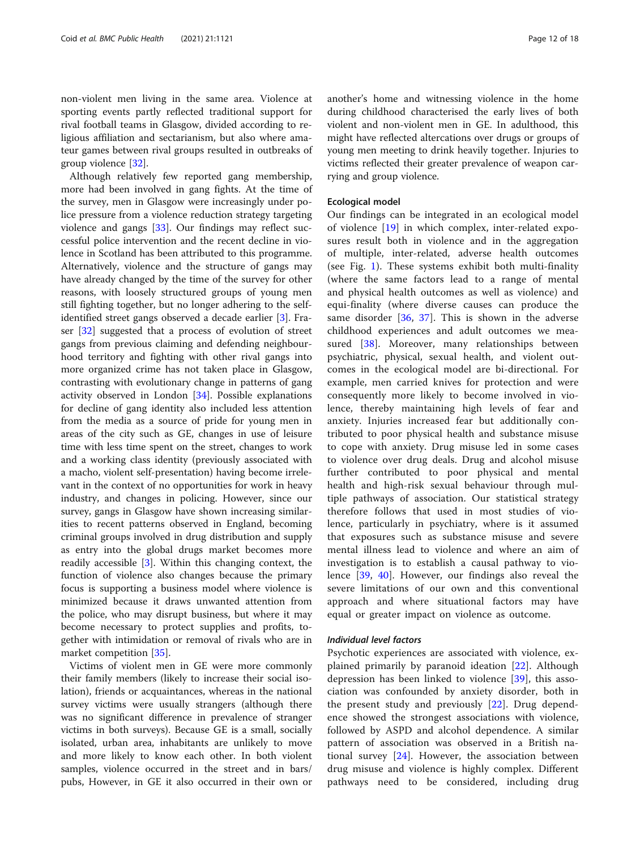non-violent men living in the same area. Violence at sporting events partly reflected traditional support for rival football teams in Glasgow, divided according to religious affiliation and sectarianism, but also where amateur games between rival groups resulted in outbreaks of group violence [\[32\]](#page-16-0).

Although relatively few reported gang membership, more had been involved in gang fights. At the time of the survey, men in Glasgow were increasingly under police pressure from a violence reduction strategy targeting violence and gangs [[33](#page-16-0)]. Our findings may reflect successful police intervention and the recent decline in violence in Scotland has been attributed to this programme. Alternatively, violence and the structure of gangs may have already changed by the time of the survey for other reasons, with loosely structured groups of young men still fighting together, but no longer adhering to the selfidentified street gangs observed a decade earlier [\[3](#page-15-0)]. Fraser [\[32\]](#page-16-0) suggested that a process of evolution of street gangs from previous claiming and defending neighbourhood territory and fighting with other rival gangs into more organized crime has not taken place in Glasgow, contrasting with evolutionary change in patterns of gang activity observed in London [[34](#page-16-0)]. Possible explanations for decline of gang identity also included less attention from the media as a source of pride for young men in areas of the city such as GE, changes in use of leisure time with less time spent on the street, changes to work and a working class identity (previously associated with a macho, violent self-presentation) having become irrelevant in the context of no opportunities for work in heavy industry, and changes in policing. However, since our survey, gangs in Glasgow have shown increasing similarities to recent patterns observed in England, becoming criminal groups involved in drug distribution and supply as entry into the global drugs market becomes more readily accessible [[3\]](#page-15-0). Within this changing context, the function of violence also changes because the primary focus is supporting a business model where violence is minimized because it draws unwanted attention from the police, who may disrupt business, but where it may become necessary to protect supplies and profits, together with intimidation or removal of rivals who are in market competition [[35\]](#page-16-0).

Victims of violent men in GE were more commonly their family members (likely to increase their social isolation), friends or acquaintances, whereas in the national survey victims were usually strangers (although there was no significant difference in prevalence of stranger victims in both surveys). Because GE is a small, socially isolated, urban area, inhabitants are unlikely to move and more likely to know each other. In both violent samples, violence occurred in the street and in bars/ pubs, However, in GE it also occurred in their own or another's home and witnessing violence in the home during childhood characterised the early lives of both violent and non-violent men in GE. In adulthood, this might have reflected altercations over drugs or groups of young men meeting to drink heavily together. Injuries to victims reflected their greater prevalence of weapon carrying and group violence.

#### Ecological model

Our findings can be integrated in an ecological model of violence [[19\]](#page-16-0) in which complex, inter-related exposures result both in violence and in the aggregation of multiple, inter-related, adverse health outcomes (see Fig. [1](#page-2-0)). These systems exhibit both multi-finality (where the same factors lead to a range of mental and physical health outcomes as well as violence) and equi-finality (where diverse causes can produce the same disorder [[36](#page-16-0), [37](#page-16-0)]. This is shown in the adverse childhood experiences and adult outcomes we mea-sured [[38\]](#page-16-0). Moreover, many relationships between psychiatric, physical, sexual health, and violent outcomes in the ecological model are bi-directional. For example, men carried knives for protection and were consequently more likely to become involved in violence, thereby maintaining high levels of fear and anxiety. Injuries increased fear but additionally contributed to poor physical health and substance misuse to cope with anxiety. Drug misuse led in some cases to violence over drug deals. Drug and alcohol misuse further contributed to poor physical and mental health and high-risk sexual behaviour through multiple pathways of association. Our statistical strategy therefore follows that used in most studies of violence, particularly in psychiatry, where is it assumed that exposures such as substance misuse and severe mental illness lead to violence and where an aim of investigation is to establish a causal pathway to violence [[39,](#page-16-0) [40\]](#page-16-0). However, our findings also reveal the severe limitations of our own and this conventional approach and where situational factors may have equal or greater impact on violence as outcome.

### Individual level factors

Psychotic experiences are associated with violence, explained primarily by paranoid ideation [\[22](#page-16-0)]. Although depression has been linked to violence [[39\]](#page-16-0), this association was confounded by anxiety disorder, both in the present study and previously [[22\]](#page-16-0). Drug dependence showed the strongest associations with violence, followed by ASPD and alcohol dependence. A similar pattern of association was observed in a British national survey  $[24]$  $[24]$ . However, the association between drug misuse and violence is highly complex. Different pathways need to be considered, including drug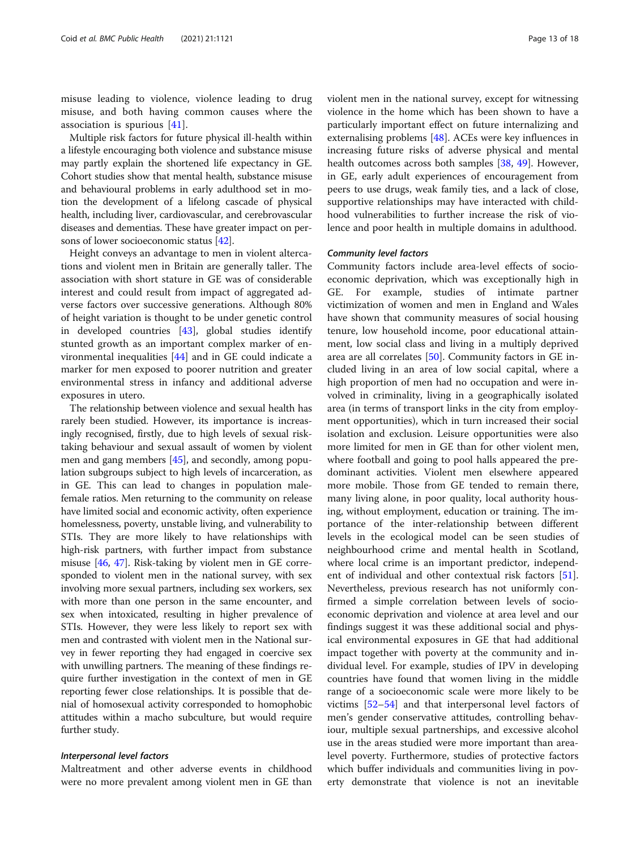misuse leading to violence, violence leading to drug misuse, and both having common causes where the association is spurious [\[41](#page-16-0)].

Multiple risk factors for future physical ill-health within a lifestyle encouraging both violence and substance misuse may partly explain the shortened life expectancy in GE. Cohort studies show that mental health, substance misuse and behavioural problems in early adulthood set in motion the development of a lifelong cascade of physical health, including liver, cardiovascular, and cerebrovascular diseases and dementias. These have greater impact on persons of lower socioeconomic status [\[42\]](#page-16-0).

Height conveys an advantage to men in violent altercations and violent men in Britain are generally taller. The association with short stature in GE was of considerable interest and could result from impact of aggregated adverse factors over successive generations. Although 80% of height variation is thought to be under genetic control in developed countries [\[43](#page-16-0)], global studies identify stunted growth as an important complex marker of environmental inequalities [\[44](#page-16-0)] and in GE could indicate a marker for men exposed to poorer nutrition and greater environmental stress in infancy and additional adverse exposures in utero.

The relationship between violence and sexual health has rarely been studied. However, its importance is increasingly recognised, firstly, due to high levels of sexual risktaking behaviour and sexual assault of women by violent men and gang members [[45](#page-16-0)], and secondly, among population subgroups subject to high levels of incarceration, as in GE. This can lead to changes in population malefemale ratios. Men returning to the community on release have limited social and economic activity, often experience homelessness, poverty, unstable living, and vulnerability to STIs. They are more likely to have relationships with high-risk partners, with further impact from substance misuse [[46,](#page-16-0) [47\]](#page-16-0). Risk-taking by violent men in GE corresponded to violent men in the national survey, with sex involving more sexual partners, including sex workers, sex with more than one person in the same encounter, and sex when intoxicated, resulting in higher prevalence of STIs. However, they were less likely to report sex with men and contrasted with violent men in the National survey in fewer reporting they had engaged in coercive sex with unwilling partners. The meaning of these findings require further investigation in the context of men in GE reporting fewer close relationships. It is possible that denial of homosexual activity corresponded to homophobic attitudes within a macho subculture, but would require further study.

#### Interpersonal level factors

Maltreatment and other adverse events in childhood were no more prevalent among violent men in GE than

violent men in the national survey, except for witnessing violence in the home which has been shown to have a particularly important effect on future internalizing and externalising problems [[48\]](#page-16-0). ACEs were key influences in increasing future risks of adverse physical and mental health outcomes across both samples [[38,](#page-16-0) [49](#page-16-0)]. However, in GE, early adult experiences of encouragement from peers to use drugs, weak family ties, and a lack of close, supportive relationships may have interacted with childhood vulnerabilities to further increase the risk of violence and poor health in multiple domains in adulthood.

#### Community level factors

Community factors include area-level effects of socioeconomic deprivation, which was exceptionally high in GE. For example, studies of intimate partner victimization of women and men in England and Wales have shown that community measures of social housing tenure, low household income, poor educational attainment, low social class and living in a multiply deprived area are all correlates [[50\]](#page-16-0). Community factors in GE included living in an area of low social capital, where a high proportion of men had no occupation and were involved in criminality, living in a geographically isolated area (in terms of transport links in the city from employment opportunities), which in turn increased their social isolation and exclusion. Leisure opportunities were also more limited for men in GE than for other violent men, where football and going to pool halls appeared the predominant activities. Violent men elsewhere appeared more mobile. Those from GE tended to remain there, many living alone, in poor quality, local authority housing, without employment, education or training. The importance of the inter-relationship between different levels in the ecological model can be seen studies of neighbourhood crime and mental health in Scotland, where local crime is an important predictor, independent of individual and other contextual risk factors [\[51](#page-16-0)]. Nevertheless, previous research has not uniformly confirmed a simple correlation between levels of socioeconomic deprivation and violence at area level and our findings suggest it was these additional social and physical environmental exposures in GE that had additional impact together with poverty at the community and individual level. For example, studies of IPV in developing countries have found that women living in the middle range of a socioeconomic scale were more likely to be victims [[52](#page-16-0)–[54](#page-16-0)] and that interpersonal level factors of men's gender conservative attitudes, controlling behaviour, multiple sexual partnerships, and excessive alcohol use in the areas studied were more important than arealevel poverty. Furthermore, studies of protective factors which buffer individuals and communities living in poverty demonstrate that violence is not an inevitable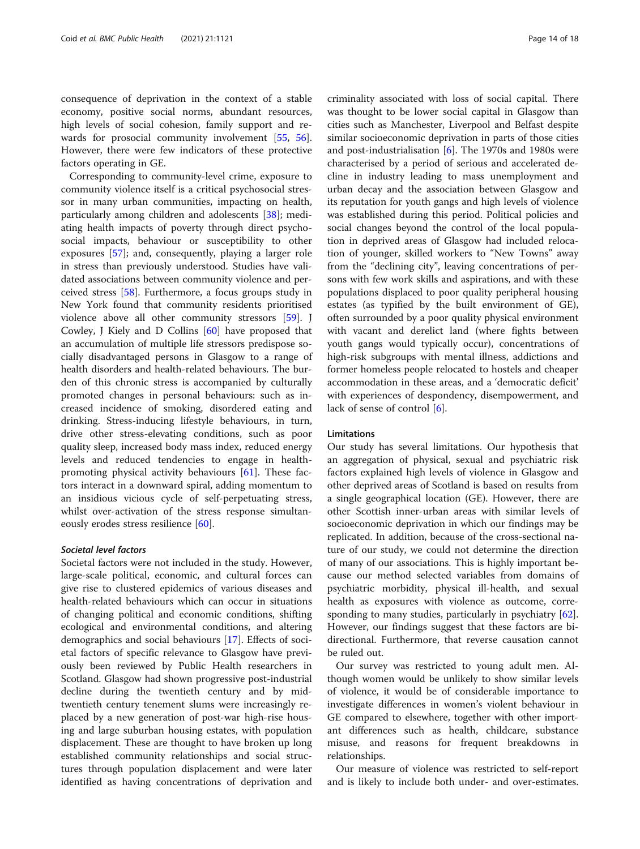consequence of deprivation in the context of a stable economy, positive social norms, abundant resources, high levels of social cohesion, family support and rewards for prosocial community involvement [[55,](#page-16-0) [56](#page-16-0)]. However, there were few indicators of these protective factors operating in GE.

Corresponding to community-level crime, exposure to community violence itself is a critical psychosocial stressor in many urban communities, impacting on health, particularly among children and adolescents [[38\]](#page-16-0); mediating health impacts of poverty through direct psychosocial impacts, behaviour or susceptibility to other exposures [[57](#page-16-0)]; and, consequently, playing a larger role in stress than previously understood. Studies have validated associations between community violence and perceived stress [\[58](#page-16-0)]. Furthermore, a focus groups study in New York found that community residents prioritised violence above all other community stressors [\[59](#page-16-0)]. J Cowley, J Kiely and D Collins [\[60](#page-17-0)] have proposed that an accumulation of multiple life stressors predispose socially disadvantaged persons in Glasgow to a range of health disorders and health-related behaviours. The burden of this chronic stress is accompanied by culturally promoted changes in personal behaviours: such as increased incidence of smoking, disordered eating and drinking. Stress-inducing lifestyle behaviours, in turn, drive other stress-elevating conditions, such as poor quality sleep, increased body mass index, reduced energy levels and reduced tendencies to engage in healthpromoting physical activity behaviours [[61\]](#page-17-0). These factors interact in a downward spiral, adding momentum to an insidious vicious cycle of self-perpetuating stress, whilst over-activation of the stress response simultaneously erodes stress resilience [[60](#page-17-0)].

#### Societal level factors

Societal factors were not included in the study. However, large-scale political, economic, and cultural forces can give rise to clustered epidemics of various diseases and health-related behaviours which can occur in situations of changing political and economic conditions, shifting ecological and environmental conditions, and altering demographics and social behaviours [[17](#page-15-0)]. Effects of societal factors of specific relevance to Glasgow have previously been reviewed by Public Health researchers in Scotland. Glasgow had shown progressive post-industrial decline during the twentieth century and by midtwentieth century tenement slums were increasingly replaced by a new generation of post-war high-rise housing and large suburban housing estates, with population displacement. These are thought to have broken up long established community relationships and social structures through population displacement and were later identified as having concentrations of deprivation and

criminality associated with loss of social capital. There was thought to be lower social capital in Glasgow than cities such as Manchester, Liverpool and Belfast despite similar socioeconomic deprivation in parts of those cities and post-industrialisation [[6](#page-15-0)]. The 1970s and 1980s were characterised by a period of serious and accelerated decline in industry leading to mass unemployment and urban decay and the association between Glasgow and its reputation for youth gangs and high levels of violence was established during this period. Political policies and social changes beyond the control of the local population in deprived areas of Glasgow had included relocation of younger, skilled workers to "New Towns" away from the "declining city", leaving concentrations of persons with few work skills and aspirations, and with these populations displaced to poor quality peripheral housing estates (as typified by the built environment of GE), often surrounded by a poor quality physical environment with vacant and derelict land (where fights between youth gangs would typically occur), concentrations of high-risk subgroups with mental illness, addictions and former homeless people relocated to hostels and cheaper accommodation in these areas, and a 'democratic deficit' with experiences of despondency, disempowerment, and lack of sense of control [\[6\]](#page-15-0).

#### **Limitations**

Our study has several limitations. Our hypothesis that an aggregation of physical, sexual and psychiatric risk factors explained high levels of violence in Glasgow and other deprived areas of Scotland is based on results from a single geographical location (GE). However, there are other Scottish inner-urban areas with similar levels of socioeconomic deprivation in which our findings may be replicated. In addition, because of the cross-sectional nature of our study, we could not determine the direction of many of our associations. This is highly important because our method selected variables from domains of psychiatric morbidity, physical ill-health, and sexual health as exposures with violence as outcome, corresponding to many studies, particularly in psychiatry [\[62](#page-17-0)]. However, our findings suggest that these factors are bidirectional. Furthermore, that reverse causation cannot be ruled out.

Our survey was restricted to young adult men. Although women would be unlikely to show similar levels of violence, it would be of considerable importance to investigate differences in women's violent behaviour in GE compared to elsewhere, together with other important differences such as health, childcare, substance misuse, and reasons for frequent breakdowns in relationships.

Our measure of violence was restricted to self-report and is likely to include both under- and over-estimates.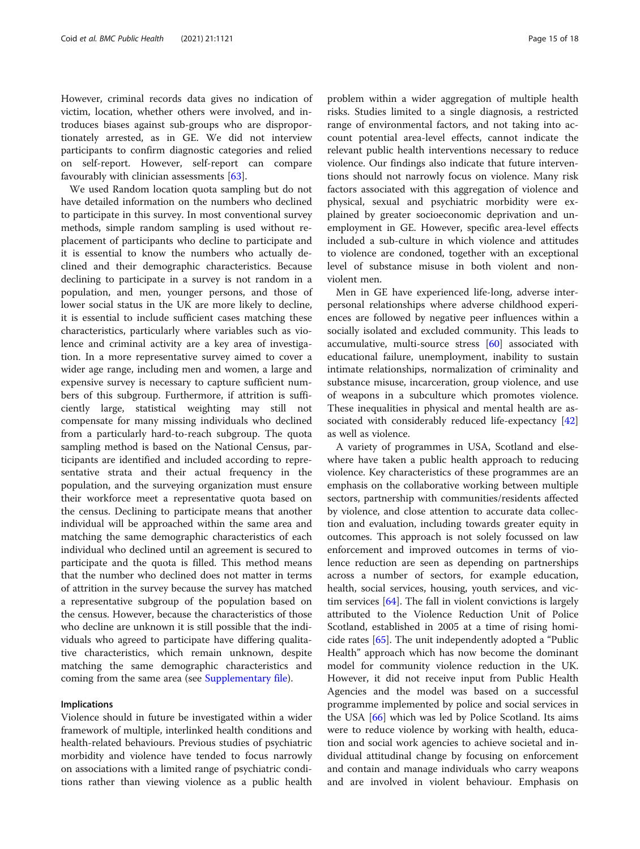However, criminal records data gives no indication of victim, location, whether others were involved, and introduces biases against sub-groups who are disproportionately arrested, as in GE. We did not interview participants to confirm diagnostic categories and relied on self-report. However, self-report can compare favourably with clinician assessments [[63\]](#page-17-0).

We used Random location quota sampling but do not have detailed information on the numbers who declined to participate in this survey. In most conventional survey methods, simple random sampling is used without replacement of participants who decline to participate and it is essential to know the numbers who actually declined and their demographic characteristics. Because declining to participate in a survey is not random in a population, and men, younger persons, and those of lower social status in the UK are more likely to decline, it is essential to include sufficient cases matching these characteristics, particularly where variables such as violence and criminal activity are a key area of investigation. In a more representative survey aimed to cover a wider age range, including men and women, a large and expensive survey is necessary to capture sufficient numbers of this subgroup. Furthermore, if attrition is sufficiently large, statistical weighting may still not compensate for many missing individuals who declined from a particularly hard-to-reach subgroup. The quota sampling method is based on the National Census, participants are identified and included according to representative strata and their actual frequency in the population, and the surveying organization must ensure their workforce meet a representative quota based on the census. Declining to participate means that another individual will be approached within the same area and matching the same demographic characteristics of each individual who declined until an agreement is secured to participate and the quota is filled. This method means that the number who declined does not matter in terms of attrition in the survey because the survey has matched a representative subgroup of the population based on the census. However, because the characteristics of those who decline are unknown it is still possible that the individuals who agreed to participate have differing qualitative characteristics, which remain unknown, despite matching the same demographic characteristics and coming from the same area (see [Supplementary file](#page-15-0)).

#### Implications

Violence should in future be investigated within a wider framework of multiple, interlinked health conditions and health-related behaviours. Previous studies of psychiatric morbidity and violence have tended to focus narrowly on associations with a limited range of psychiatric conditions rather than viewing violence as a public health problem within a wider aggregation of multiple health risks. Studies limited to a single diagnosis, a restricted range of environmental factors, and not taking into account potential area-level effects, cannot indicate the relevant public health interventions necessary to reduce violence. Our findings also indicate that future interventions should not narrowly focus on violence. Many risk factors associated with this aggregation of violence and physical, sexual and psychiatric morbidity were explained by greater socioeconomic deprivation and unemployment in GE. However, specific area-level effects included a sub-culture in which violence and attitudes to violence are condoned, together with an exceptional level of substance misuse in both violent and nonviolent men.

Men in GE have experienced life-long, adverse interpersonal relationships where adverse childhood experiences are followed by negative peer influences within a socially isolated and excluded community. This leads to accumulative, multi-source stress [\[60\]](#page-17-0) associated with educational failure, unemployment, inability to sustain intimate relationships, normalization of criminality and substance misuse, incarceration, group violence, and use of weapons in a subculture which promotes violence. These inequalities in physical and mental health are as-sociated with considerably reduced life-expectancy [[42](#page-16-0)] as well as violence.

A variety of programmes in USA, Scotland and elsewhere have taken a public health approach to reducing violence. Key characteristics of these programmes are an emphasis on the collaborative working between multiple sectors, partnership with communities/residents affected by violence, and close attention to accurate data collection and evaluation, including towards greater equity in outcomes. This approach is not solely focussed on law enforcement and improved outcomes in terms of violence reduction are seen as depending on partnerships across a number of sectors, for example education, health, social services, housing, youth services, and victim services [\[64\]](#page-17-0). The fall in violent convictions is largely attributed to the Violence Reduction Unit of Police Scotland, established in 2005 at a time of rising homicide rates [[65](#page-17-0)]. The unit independently adopted a "Public Health" approach which has now become the dominant model for community violence reduction in the UK. However, it did not receive input from Public Health Agencies and the model was based on a successful programme implemented by police and social services in the USA [[66](#page-17-0)] which was led by Police Scotland. Its aims were to reduce violence by working with health, education and social work agencies to achieve societal and individual attitudinal change by focusing on enforcement and contain and manage individuals who carry weapons and are involved in violent behaviour. Emphasis on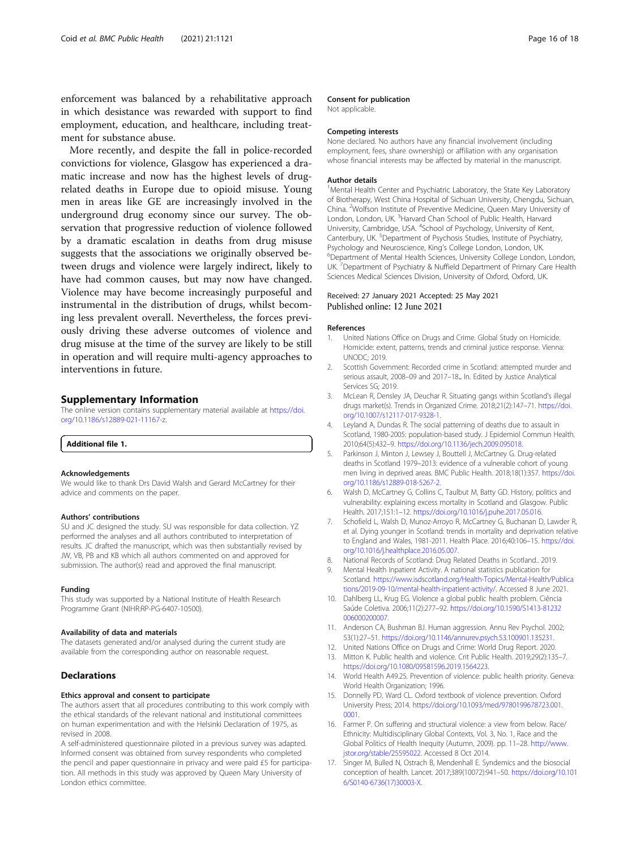<span id="page-15-0"></span>enforcement was balanced by a rehabilitative approach in which desistance was rewarded with support to find employment, education, and healthcare, including treatment for substance abuse.

More recently, and despite the fall in police-recorded convictions for violence, Glasgow has experienced a dramatic increase and now has the highest levels of drugrelated deaths in Europe due to opioid misuse. Young men in areas like GE are increasingly involved in the underground drug economy since our survey. The observation that progressive reduction of violence followed by a dramatic escalation in deaths from drug misuse suggests that the associations we originally observed between drugs and violence were largely indirect, likely to have had common causes, but may now have changed. Violence may have become increasingly purposeful and instrumental in the distribution of drugs, whilst becoming less prevalent overall. Nevertheless, the forces previously driving these adverse outcomes of violence and drug misuse at the time of the survey are likely to be still in operation and will require multi-agency approaches to interventions in future.

# Supplementary Information

The online version contains supplementary material available at [https://doi.](https://doi.org/10.1186/s12889-021-11167-z) [org/10.1186/s12889-021-11167-z.](https://doi.org/10.1186/s12889-021-11167-z)

#### Additional file 1.

#### Acknowledgements

We would like to thank Drs David Walsh and Gerard McCartney for their advice and comments on the paper.

#### Authors' contributions

SU and JC designed the study. SU was responsible for data collection. YZ performed the analyses and all authors contributed to interpretation of results. JC drafted the manuscript, which was then substantially revised by JW, VB, PB and KB which all authors commented on and approved for submission. The author(s) read and approved the final manuscript.

#### Funding

This study was supported by a National Institute of Health Research Programme Grant (NIHR:RP-PG-6407-10500).

#### Availability of data and materials

The datasets generated and/or analysed during the current study are available from the corresponding author on reasonable request.

#### **Declarations**

#### Ethics approval and consent to participate

The authors assert that all procedures contributing to this work comply with the ethical standards of the relevant national and institutional committees on human experimentation and with the Helsinki Declaration of 1975, as revised in 2008.

A self-administered questionnaire piloted in a previous survey was adapted. Informed consent was obtained from survey respondents who completed the pencil and paper questionnaire in privacy and were paid £5 for participation. All methods in this study was approved by Queen Mary University of London ethics committee.

#### Consent for publication

Not applicable.

#### Competing interests

None declared. No authors have any financial involvement (including employment, fees, share ownership) or affiliation with any organisation whose financial interests may be affected by material in the manuscript.

#### Author details

<sup>1</sup> Mental Health Center and Psychiatric Laboratory, the State Key Laboratory of Biotherapy, West China Hospital of Sichuan University, Chengdu, Sichuan, China. <sup>2</sup>Wolfson Institute of Preventive Medicine, Queen Mary University of London, London, UK. <sup>3</sup>Harvard Chan School of Public Health, Harvard University, Cambridge, USA. <sup>4</sup>School of Psychology, University of Kent, Canterbury, UK. <sup>5</sup>Department of Psychosis Studies, Institute of Psychiatry Psychology and Neuroscience, King's College London, London, UK. Department of Mental Health Sciences, University College London, London, UK. <sup>7</sup> Department of Psychiatry & Nuffield Department of Primary Care Health Sciences Medical Sciences Division, University of Oxford, Oxford, UK.

#### Received: 27 January 2021 Accepted: 25 May 2021 Published online: 12 June 2021

#### References

- 1. United Nations Office on Drugs and Crime. Global Study on Homicide. Homicide: extent, patterns, trends and criminal justice response. Vienna: UNODC; 2019.
- 2. Scottish Government: Recorded crime in Scotland: attempted murder and serious assault, 2008–09 and 2017–18.. In. Edited by Justice Analytical Services SG; 2019.
- 3. McLean R, Densley JA, Deuchar R. Situating gangs within Scotland's illegal drugs market(s). Trends in Organized Crime. 2018;21(2):147–71. [https://doi.](https://doi.org/10.1007/s12117-017-9328-1) [org/10.1007/s12117-017-9328-1](https://doi.org/10.1007/s12117-017-9328-1).
- 4. Leyland A, Dundas R. The social patterning of deaths due to assault in Scotland, 1980-2005: population-based study. J Epidemiol Commun Health. 2010;64(5):432–9. [https://doi.org/10.1136/jech.2009.095018.](https://doi.org/10.1136/jech.2009.095018)
- 5. Parkinson J, Minton J, Lewsey J, Bouttell J, McCartney G. Drug-related deaths in Scotland 1979–2013: evidence of a vulnerable cohort of young men living in deprived areas. BMC Public Health. 2018;18(1):357. [https://doi.](https://doi.org/10.1186/s12889-018-5267-2) [org/10.1186/s12889-018-5267-2](https://doi.org/10.1186/s12889-018-5267-2).
- 6. Walsh D, McCartney G, Collins C, Taulbut M, Batty GD. History, politics and vulnerability: explaining excess mortality in Scotland and Glasgow. Public Health. 2017;151:1–12. [https://doi.org/10.1016/j.puhe.2017.05.016.](https://doi.org/10.1016/j.puhe.2017.05.016)
- 7. Schofield L, Walsh D, Munoz-Arroyo R, McCartney G, Buchanan D, Lawder R, et al. Dying younger in Scotland: trends in mortality and deprivation relative to England and Wales, 1981-2011. Health Place. 2016;40:106–15. [https://doi.](https://doi.org/10.1016/j.healthplace.2016.05.007) [org/10.1016/j.healthplace.2016.05.007.](https://doi.org/10.1016/j.healthplace.2016.05.007)
- 8. National Records of Scotland: Drug Related Deaths in Scotland.. 2019. 9. Mental Health Inpatient Activity. A national statistics publication for
- Scotland. [https://www.isdscotland.org/Health-Topics/Mental-Health/Publica](https://www.isdscotland.org/Health-Topics/Mental-Health/Publications/2019-09-10/mental-health-inpatient-activity/) [tions/2019-09-10/mental-health-inpatient-activity/](https://www.isdscotland.org/Health-Topics/Mental-Health/Publications/2019-09-10/mental-health-inpatient-activity/). Accessed 8 June 2021.
- 10. Dahlberg LL, Krug EG. Violence a global public health problem. Ciência Saúde Coletiva. 2006;11(2):277–92. [https://doi.org/10.1590/S1413-81232](https://doi.org/10.1590/S1413-81232006000200007) [006000200007.](https://doi.org/10.1590/S1413-81232006000200007)
- 11. Anderson CA, Bushman BJ. Human aggression. Annu Rev Psychol. 2002; 53(1):27–51. [https://doi.org/10.1146/annurev.psych.53.100901.135231.](https://doi.org/10.1146/annurev.psych.53.100901.135231)
- 12. United Nations Office on Drugs and Crime: World Drug Report. 2020.
- 13. Mitton K. Public health and violence. Crit Public Health. 2019;29(2):135–7. <https://doi.org/10.1080/09581596.2019.1564223>.
- 14. World Health A49.25. Prevention of violence: public health priority. Geneva: World Health Organization; 1996.
- 15. Donnelly PD, Ward CL. Oxford textbook of violence prevention. Oxford University Press; 2014. [https://doi.org/10.1093/med/9780199678723.001.](https://doi.org/10.1093/med/9780199678723.001.0001) [0001](https://doi.org/10.1093/med/9780199678723.001.0001).
- 16. Farmer P. On suffering and structural violence: a view from below. Race/ Ethnicity: Multidisciplinary Global Contexts, Vol. 3, No. 1, Race and the Global Politics of Health Inequity (Autumn, 2009). pp. 11–28. [http://www.](https://www.jstor.org/stable/25595022) [jstor.org/stable/25595022.](https://www.jstor.org/stable/25595022) Accessed 8 Oct 2014.
- 17. Singer M, Bulled N, Ostrach B, Mendenhall E. Syndemics and the biosocial conception of health. Lancet. 2017;389(10072):941–50. [https://doi.org/10.101](https://doi.org/10.1016/S0140-6736(17)30003-X) [6/S0140-6736\(17\)30003-X.](https://doi.org/10.1016/S0140-6736(17)30003-X)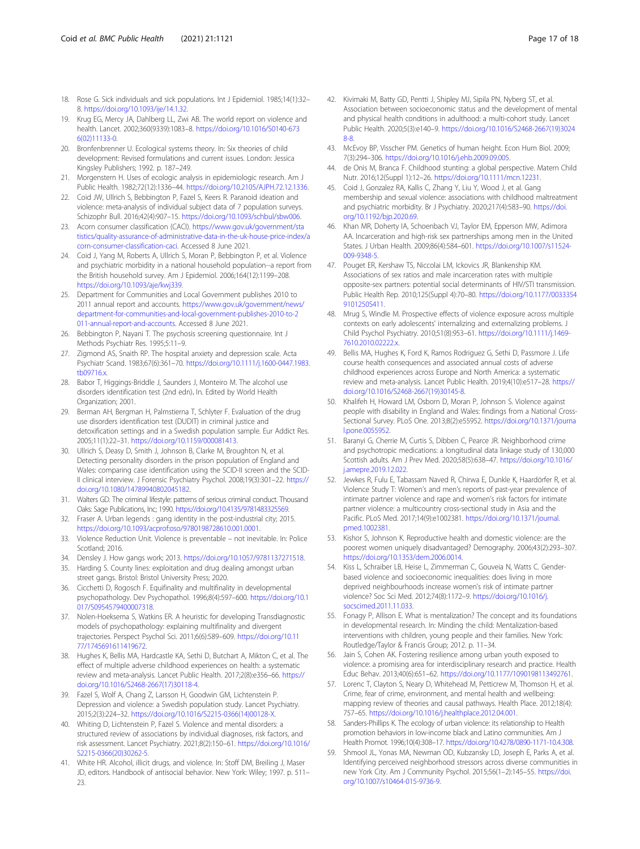- <span id="page-16-0"></span>18. Rose G. Sick individuals and sick populations. Int J Epidemiol. 1985;14(1):32– 8. [https://doi.org/10.1093/ije/14.1.32.](https://doi.org/10.1093/ije/14.1.32)
- 19. Krug EG, Mercy JA, Dahlberg LL, Zwi AB. The world report on violence and health. Lancet. 2002;360(9339):1083–8. [https://doi.org/10.1016/S0140-673](https://doi.org/10.1016/S0140-6736(02)11133-0) [6\(02\)11133-0](https://doi.org/10.1016/S0140-6736(02)11133-0).
- 20. Bronfenbrenner U. Ecological systems theory. In: Six theories of child development: Revised formulations and current issues. London: Jessica Kingsley Publishers; 1992. p. 187–249.
- 21. Morgenstern H. Uses of ecologic analysis in epidemiologic research. Am J Public Health. 1982;72(12):1336–44. <https://doi.org/10.2105/AJPH.72.12.1336>.
- 22. Coid JW, Ullrich S, Bebbington P, Fazel S, Keers R. Paranoid ideation and violence: meta-analysis of individual subject data of 7 population surveys. Schizophr Bull. 2016;42(4):907–15. <https://doi.org/10.1093/schbul/sbw006>.
- 23. Acorn consumer classification (CACI). [https://www.gov.uk/government/sta](https://www.gov.uk/government/statistics/quality-assurance-of-administrative-data-in-the-uk-house-price-index/acorn-consumer-classification-caci) [tistics/quality-assurance-of-administrative-data-in-the-uk-house-price-index/a](https://www.gov.uk/government/statistics/quality-assurance-of-administrative-data-in-the-uk-house-price-index/acorn-consumer-classification-caci) [corn-consumer-classification-caci](https://www.gov.uk/government/statistics/quality-assurance-of-administrative-data-in-the-uk-house-price-index/acorn-consumer-classification-caci). Accessed 8 June 2021.
- 24. Coid J, Yang M, Roberts A, Ullrich S, Moran P, Bebbington P, et al. Violence and psychiatric morbidity in a national household population--a report from the British household survey. Am J Epidemiol. 2006;164(12):1199–208. <https://doi.org/10.1093/aje/kwj339>.
- 25. Department for Communities and Local Government publishes 2010 to 2011 annual report and accounts. [https://www.gov.uk/government/news/](https://www.gov.uk/government/news/department-for-communities-and-local-government-publishes-2010-to-2011-annual-report-and-accounts) [department-for-communities-and-local-government-publishes-2010-to-2](https://www.gov.uk/government/news/department-for-communities-and-local-government-publishes-2010-to-2011-annual-report-and-accounts) [011-annual-report-and-accounts.](https://www.gov.uk/government/news/department-for-communities-and-local-government-publishes-2010-to-2011-annual-report-and-accounts) Accessed 8 June 2021.
- Bebbington P, Nayani T. The psychosis screening questionnaire. Int J Methods Psychiatr Res. 1995;5:11–9.
- 27. Zigmond AS, Snaith RP. The hospital anxiety and depression scale. Acta Psychiatr Scand. 1983;67(6):361–70. [https://doi.org/10.1111/j.1600-0447.1983.](https://doi.org/10.1111/j.1600-0447.1983.tb09716.x) [tb09716.x.](https://doi.org/10.1111/j.1600-0447.1983.tb09716.x)
- 28. Babor T, Higgings-Briddle J, Saunders J, Monteiro M. The alcohol use disorders identification test (2nd edn). In. Edited by World Health Organization; 2001.
- 29. Berman AH, Bergman H, Palmstierna T, Schlyter F. Evaluation of the drug use disorders identification test (DUDIT) in criminal justice and detoxification settings and in a Swedish population sample. Eur Addict Res. 2005;11(1):22–31. <https://doi.org/10.1159/000081413>.
- 30. Ullrich S, Deasy D, Smith J, Johnson B, Clarke M, Broughton N, et al. Detecting personality disorders in the prison population of England and Wales: comparing case identification using the SCID-II screen and the SCID-II clinical interview. J Forensic Psychiatry Psychol. 2008;19(3):301–22. [https://](https://doi.org/10.1080/14789940802045182) [doi.org/10.1080/14789940802045182](https://doi.org/10.1080/14789940802045182).
- 31. Walters GD. The criminal lifestyle: patterns of serious criminal conduct. Thousand Oaks: Sage Publications, Inc; 1990. https://doi.org/10.4135/978148332556
- 32. Fraser A. Urban legends : gang identity in the post-industrial city; 2015. <https://doi.org/10.1093/acprof:oso/9780198728610.001.0001>.
- 33. Violence Reduction Unit. Violence is preventable not inevitable. In: Police Scotland; 2016.
- 34. Densley J. How gangs work; 2013. [https://doi.org/10.1057/9781137271518.](https://doi.org/10.1057/9781137271518)
- 35. Harding S. County lines: exploitation and drug dealing amongst urban street gangs. Bristol: Bristol University Press; 2020.
- 36. Cicchetti D, Rogosch F. Equifinality and multifinality in developmental psychopathology. Dev Psychopathol. 1996;8(4):597–600. [https://doi.org/10.1](https://doi.org/10.1017/S0954579400007318) [017/S0954579400007318](https://doi.org/10.1017/S0954579400007318).
- 37. Nolen-Hoeksema S, Watkins ER. A heuristic for developing Transdiagnostic models of psychopathology: explaining multifinality and divergent trajectories. Perspect Psychol Sci. 2011;6(6):589–609. [https://doi.org/10.11](https://doi.org/10.1177/1745691611419672) [77/1745691611419672.](https://doi.org/10.1177/1745691611419672)
- 38. Hughes K, Bellis MA, Hardcastle KA, Sethi D, Butchart A, Mikton C, et al. The effect of multiple adverse childhood experiences on health: a systematic review and meta-analysis. Lancet Public Health. 2017;2(8):e356–66. [https://](https://doi.org/10.1016/S2468-2667(17)30118-4) [doi.org/10.1016/S2468-2667\(17\)30118-4](https://doi.org/10.1016/S2468-2667(17)30118-4).
- 39. Fazel S, Wolf A, Chang Z, Larsson H, Goodwin GM, Lichtenstein P. Depression and violence: a Swedish population study. Lancet Psychiatry. 2015;2(3):224–32. [https://doi.org/10.1016/S2215-0366\(14\)00128-X.](https://doi.org/10.1016/S2215-0366(14)00128-X)
- 40. Whiting D, Lichtenstein P, Fazel S. Violence and mental disorders: a structured review of associations by individual diagnoses, risk factors, and risk assessment. Lancet Psychiatry. 2021;8(2):150–61. [https://doi.org/10.1016/](https://doi.org/10.1016/S2215-0366(20)30262-5) [S2215-0366\(20\)30262-5](https://doi.org/10.1016/S2215-0366(20)30262-5).
- 41. White HR. Alcohol, illicit drugs, and violence. In: Stoff DM, Breiling J, Maser JD, editors. Handbook of antisocial behavior. New York: Wiley; 1997. p. 511– 23.
- 42. Kivimaki M, Batty GD, Pentti J, Shipley MJ, Sipila PN, Nyberg ST, et al. Association between socioeconomic status and the development of mental and physical health conditions in adulthood: a multi-cohort study. Lancet Public Health. 2020;5(3):e140–9. [https://doi.org/10.1016/S2468-2667\(19\)3024](https://doi.org/10.1016/S2468-2667(19)30248-8) [8-8.](https://doi.org/10.1016/S2468-2667(19)30248-8)
- 43. McEvoy BP, Visscher PM. Genetics of human height. Econ Hum Biol. 2009; 7(3):294–306. <https://doi.org/10.1016/j.ehb.2009.09.005>.
- 44. de Onis M, Branca F. Childhood stunting: a global perspective. Matern Child Nutr. 2016;12(Suppl 1):12–26. <https://doi.org/10.1111/mcn.12231>.
- 45. Coid J, Gonzalez RA, Kallis C, Zhang Y, Liu Y, Wood J, et al. Gang membership and sexual violence: associations with childhood maltreatment and psychiatric morbidity. Br J Psychiatry. 2020;217(4):583–90. [https://doi.](https://doi.org/10.1192/bjp.2020.69) [org/10.1192/bjp.2020.69](https://doi.org/10.1192/bjp.2020.69).
- 46. Khan MR, Doherty IA, Schoenbach VJ, Taylor EM, Epperson MW, Adimora AA. Incarceration and high-risk sex partnerships among men in the United States. J Urban Health. 2009;86(4):584–601. [https://doi.org/10.1007/s11524-](https://doi.org/10.1007/s11524-009-9348-5) [009-9348-5](https://doi.org/10.1007/s11524-009-9348-5).
- 47. Pouget ER, Kershaw TS, Niccolai LM, Ickovics JR, Blankenship KM. Associations of sex ratios and male incarceration rates with multiple opposite-sex partners: potential social determinants of HIV/STI transmission. Public Health Rep. 2010;125(Suppl 4):70–80. [https://doi.org/10.1177/0033354](https://doi.org/10.1177/00333549101250S411) [9101250S411](https://doi.org/10.1177/00333549101250S411).
- 48. Mrug S, Windle M. Prospective effects of violence exposure across multiple contexts on early adolescents' internalizing and externalizing problems. J Child Psychol Psychiatry. 2010;51(8):953–61. [https://doi.org/10.1111/j.1469-](https://doi.org/10.1111/j.1469-7610.2010.02222.x) 7610.2010.02222.x
- 49. Bellis MA, Hughes K, Ford K, Ramos Rodriguez G, Sethi D, Passmore J. Life course health consequences and associated annual costs of adverse childhood experiences across Europe and North America: a systematic review and meta-analysis. Lancet Public Health. 2019;4(10):e517–28. [https://](https://doi.org/10.1016/S2468-2667(19)30145-8) [doi.org/10.1016/S2468-2667\(19\)30145-8](https://doi.org/10.1016/S2468-2667(19)30145-8).
- 50. Khalifeh H, Howard LM, Osborn D, Moran P, Johnson S. Violence against people with disability in England and Wales: findings from a National Cross-Sectional Survey. PLoS One. 2013;8(2):e55952. [https://doi.org/10.1371/journa](https://doi.org/10.1371/journal.pone.0055952) [l.pone.0055952](https://doi.org/10.1371/journal.pone.0055952).
- 51. Baranyi G, Cherrie M, Curtis S, Dibben C, Pearce JR. Neighborhood crime and psychotropic medications: a longitudinal data linkage study of 130,000 Scottish adults. Am J Prev Med. 2020;58(5):638–47. [https://doi.org/10.1016/](https://doi.org/10.1016/j.amepre.2019.12.022) [j.amepre.2019.12.022](https://doi.org/10.1016/j.amepre.2019.12.022).
- 52. Jewkes R, Fulu E, Tabassam Naved R, Chirwa E, Dunkle K, Haardörfer R, et al. Violence Study T: Women's and men's reports of past-year prevalence of intimate partner violence and rape and women's risk factors for intimate partner violence: a multicountry cross-sectional study in Asia and the Pacific. PLoS Med. 2017;14(9):e1002381. [https://doi.org/10.1371/journal.](https://doi.org/10.1371/journal.pmed.1002381) [pmed.1002381.](https://doi.org/10.1371/journal.pmed.1002381)
- 53. Kishor S, Johnson K. Reproductive health and domestic violence: are the poorest women uniquely disadvantaged? Demography. 2006;43(2):293–307. [https://doi.org/10.1353/dem.2006.0014.](https://doi.org/10.1353/dem.2006.0014)
- 54. Kiss L, Schraiber LB, Heise L, Zimmerman C, Gouveia N, Watts C. Genderbased violence and socioeconomic inequalities: does living in more deprived neighbourhoods increase women's risk of intimate partner violence? Soc Sci Med. 2012;74(8):1172–9. [https://doi.org/10.1016/j.](https://doi.org/10.1016/j.socscimed.2011.11.033) [socscimed.2011.11.033.](https://doi.org/10.1016/j.socscimed.2011.11.033)
- 55. Fonagy P, Allison E. What is mentalization? The concept and its foundations in developmental research. In: Minding the child: Mentalization-based interventions with children, young people and their families. New York: Routledge/Taylor & Francis Group; 2012. p. 11–34.
- 56. Jain S, Cohen AK. Fostering resilience among urban youth exposed to violence: a promising area for interdisciplinary research and practice. Health Educ Behav. 2013;40(6):651–62. <https://doi.org/10.1177/1090198113492761>.
- 57. Lorenc T, Clayton S, Neary D, Whitehead M, Petticrew M, Thomson H, et al. Crime, fear of crime, environment, and mental health and wellbeing: mapping review of theories and causal pathways. Health Place. 2012;18(4): 757–65. [https://doi.org/10.1016/j.healthplace.2012.04.001.](https://doi.org/10.1016/j.healthplace.2012.04.001)
- 58. Sanders-Phillips K. The ecology of urban violence: its relationship to Health promotion behaviors in low-income black and Latino communities. Am J Health Promot. 1996;10(4):308–17. <https://doi.org/10.4278/0890-1171-10.4.308>.
- 59. Shmool JL, Yonas MA, Newman OD, Kubzansky LD, Joseph E, Parks A, et al. Identifying perceived neighborhood stressors across diverse communities in new York City. Am J Community Psychol. 2015;56(1–2):145–55. [https://doi.](https://doi.org/10.1007/s10464-015-9736-9) [org/10.1007/s10464-015-9736-9](https://doi.org/10.1007/s10464-015-9736-9).